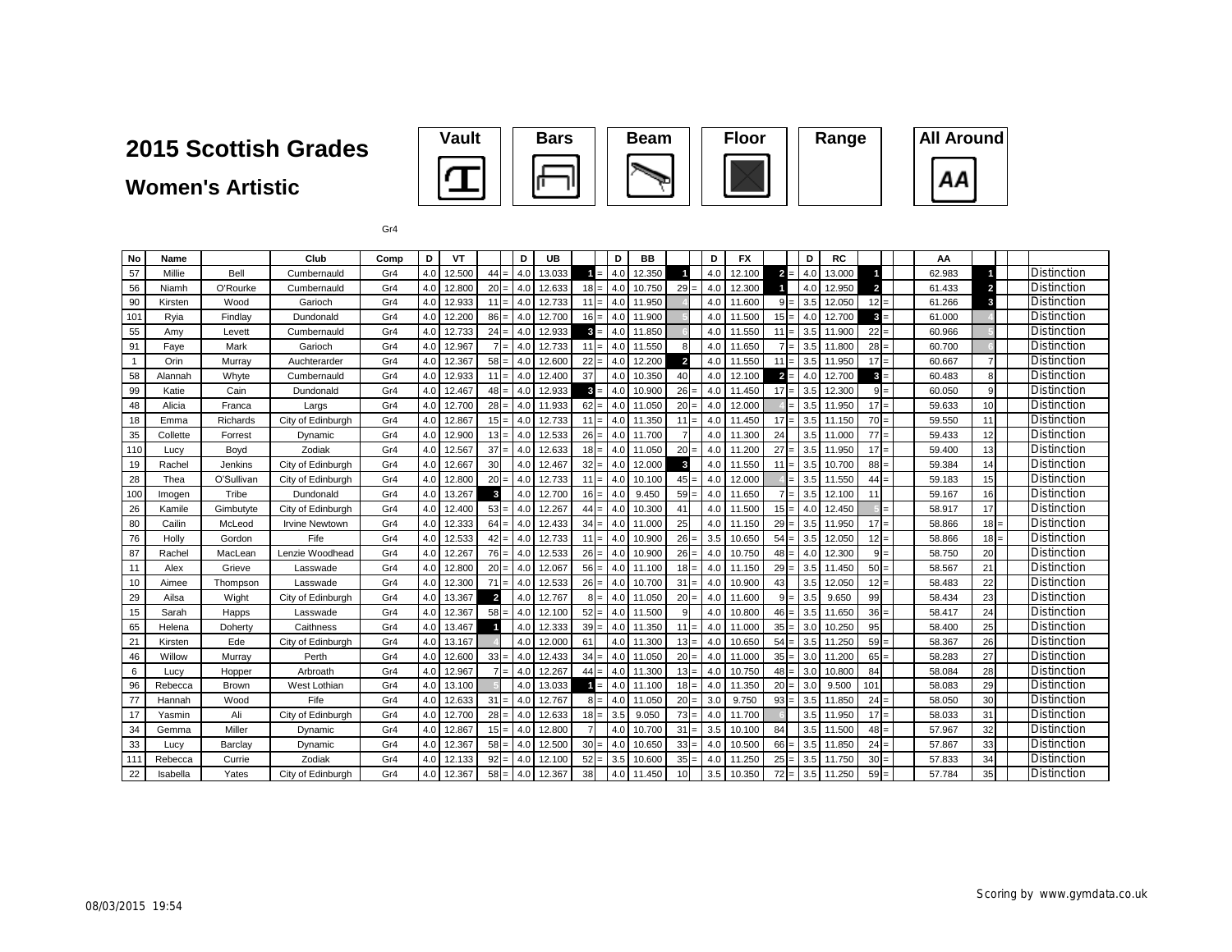**Women's Artistic**





Gr4

| No           | Name     |              | Club                  | Comp | D   | VT     |                | D               | UB     |        | D   | <b>BB</b> |                         | D   | <b>FX</b> |             | D   | <b>RC</b> |                         | AA     |                 |                    |
|--------------|----------|--------------|-----------------------|------|-----|--------|----------------|-----------------|--------|--------|-----|-----------|-------------------------|-----|-----------|-------------|-----|-----------|-------------------------|--------|-----------------|--------------------|
| 57           | Millie   | Bell         | Cumbernauld           | Gr4  | 4.0 | 12.500 | 44             | $=$<br>4.0      | 13.033 | $=$    | 4.0 | 12.350    |                         | 4.0 | 12.100    | $2 =$       | 4.0 | 13.000    |                         | 62.983 |                 | <b>Distinction</b> |
| 56           | Niamh    | O'Rourke     | Cumbernauld           | Gr4  | 4.0 | 12.800 | $20 =$         | 4.0             | 12.633 | $18 =$ | 4.0 | 10.750    | 29                      | 4.0 | 12.300    |             | 4.0 | 12.950    | $\overline{\mathbf{2}}$ | 61.433 | $\overline{a}$  | Distinction        |
| 90           | Kirsten  | Wood         | Garioch               | Gr4  | 4.0 | 12.933 | $11 =$         | 4.0             | 12.733 | $11 =$ | 4.0 | 11.950    |                         | 4.0 | 11.600    | $9 =$       | 3.5 | 12.050    | $12 =$                  | 61.266 | 3               | <b>Distinction</b> |
| 101          | Ryia     | Findlay      | Dundonald             | Gr4  | 4.0 | 12.200 | $86 =$         | 4.0             | 12.700 | $16 =$ | 4.0 | 11.900    |                         | 4.0 | 11.500    | $15 =$      | 4.0 | 12.700    | $3 =$                   | 61.000 |                 | Distinction        |
| 55           | Amy      | Levett       | Cumbernauld           | Gr4  | 4.0 | 12.733 | $24 =$         | 4.0             | 12.933 | $3 =$  | 4.0 | 11.850    |                         | 4.0 | 11.550    | 11<br>$=$   | 3.5 | 11.900    | $22 =$                  | 60.966 |                 | <b>Distinction</b> |
| 91           | Faye     | Mark         | Garioch               | Gr4  | 4.0 | 12.967 | $7 =$          | 4.0             | 12.733 | $11 =$ | 4.0 | 11.550    | 8                       | 4.0 | 11.650    |             | 3.5 | 11.800    | $28 =$                  | 60.700 |                 | <b>Distinction</b> |
| $\mathbf{1}$ | Orin     | Murrav       | Auchterarder          | Gr4  | 4.0 | 12.367 | $58 =$         | 4.0             | 12.600 | $22 =$ | 4.0 | 12.200    | $\overline{\mathbf{2}}$ | 4.0 | 11.550    | $1^{\circ}$ | 3.5 | 11.950    | $17 =$                  | 60.667 | $\overline{7}$  | <b>Distinction</b> |
| 58           | Alannah  | Whyte        | Cumbernauld           | Gr4  | 4.0 | 12.933 | $11 =$         | 4.0             | 12.400 | 37     | 4.0 | 10.350    | 40                      | 4.0 | 12.100    | $2 =$       | 4.0 | 12.700    | $3 =$                   | 60.483 | 8               | Distinction        |
| 99           | Katie    | Cain         | Dundonald             | Gr4  | 4.0 | 12.467 | $48 =$         | 4.0             | 12.933 | $3 =$  | 4.0 | 10.900    | 26                      | 4.0 | 11.450    | 17<br>$=$   | 3.5 | 12.300    | $9 =$                   | 60.050 | 9               | Distinction        |
| 48           | Alicia   | Franca       | Largs                 | Gr4  | 4.0 | 12.700 | $28 =$         | 4.0             | 11.933 | $62 =$ | 4.0 | 11.050    | 20 <sub>1</sub>         | 4.0 | 12.000    |             | 3.5 | 11.950    | $17 =$                  | 59.633 | 10              | <b>Distinction</b> |
| 18           | Emma     | Richards     | City of Edinburgh     | Gr4  | 4.0 | 12.867 | $15 =$         | 4.0             | 12.733 | $11 =$ | 4.0 | 11.350    | 11                      | 4.0 | 11.450    | 17<br>$=$   | 3.5 | 11.150    | $70 =$                  | 59.550 | 11              | Distinction        |
| 35           | Collette | Forrest      | Dynamic               | Gr4  | 4.0 | 12.900 | $13 =$         | 4.0             | 12.533 | $26 =$ | 4.0 | 11.700    |                         | 4.0 | 11.300    | 24          | 3.5 | 11.000    | $77 =$                  | 59.433 | 12              | Distinction        |
| 110          | Lucy     | Boyd         | Zodiak                | Gr4  | 4.0 | 12.567 | 37             | 4.0<br>$\equiv$ | 12.633 | $18 =$ | 4.0 | 11.050    | 20                      | 4.0 | 11.200    | 27          | 3.5 | 11.950    | $17 =$                  | 59.400 | 13              | Distinction        |
| 19           | Rachel   | Jenkins      | City of Edinburgh     | Gr4  | 4.0 | 12.667 | 30             | 4.0             | 12.467 | $32 =$ | 4.0 | 12.000    | $\overline{\mathbf{3}}$ | 4.0 | 11.550    | 11<br>$=$   | 3.5 | 10.700    | $88 =$                  | 59.384 | 14              | <b>Distinction</b> |
| 28           | Thea     | O'Sullivan   | City of Edinburgh     | Gr4  | 4.0 | 12.800 | 20             | 4.0<br>$=$      | 12.733 | $11 =$ | 4.0 | 10.100    | 45                      | 4.0 | 12.000    |             | 3.5 | 11.550    | $44 =$                  | 59.183 | 15              | Distinction        |
| 100          | Imogen   | Tribe        | Dundonald             | Gr4  | 4.0 | 13.267 | $\mathbf{3}$   | 4.0             | 12.700 | $16 =$ | 4.0 | 9.450     | 59                      | 4.0 | 11.650    |             | 3.5 | 12.100    | 11                      | 59.167 | 16              | Distinction        |
| 26           | Kamile   | Gimbutyte    | City of Edinburgh     | Gr4  | 4.0 | 12.400 | $53 =$         | 4.0             | 12.267 | $44 =$ | 4.0 | 10.300    | 41                      | 4.0 | 11.500    | $15 =$      | 4.0 | 12.450    |                         | 58.917 | 17              | Distinction        |
| 80           | Cailin   | McLeod       | <b>Irvine Newtown</b> | Gr4  | 4.0 | 12.333 | 64             | 4.0<br>$=$      | 12.433 | $34 =$ | 4.0 | 11.000    | 25                      | 4.0 | 11.150    | 29          | 3.5 | 11.950    | $17 =$                  | 58.866 | 18              | <b>Distinction</b> |
| 76           | Holly    | Gordon       | Fife                  | Gr4  | 4.0 | 12.533 | $42 =$         | 4.0             | 12.733 | $11 =$ | 4.0 | 10.900    | 26                      | 3.5 | 10.650    | 54          | 3.5 | 12.050    | $12 =$                  | 58.866 | 18 <sup>1</sup> | <b>Distinction</b> |
| 87           | Rachel   | MacLear      | Lenzie Woodhead       | Gr4  | 4.0 | 12.267 | $76 =$         | 4.0             | 12.533 | $26 =$ | 4.0 | 10.900    | 26                      | 4.0 | 10.750    | 48<br>$=$   | 4.0 | 12.300    | $9 =$                   | 58.750 | 20              | <b>Distinction</b> |
| 11           | Alex     | Grieve       | Lasswade              | Gr4  | 4.0 | 12.800 | $20 =$         | 4.0             | 12.067 | $56 =$ | 4.0 | 11.100    | 18                      | 4.0 | 11.150    | 29<br>$=$   | 3.5 | 11.450    | $50 =$                  | 58.567 | 21              | <b>Distinction</b> |
| 10           | Aimee    | Thompson     | Lasswade              | Gr4  | 4.0 | 12.300 | 71             | 4.0<br>$=$      | 12.533 | $26 =$ | 4.0 | 10.700    | 31                      | 4.0 | 10.900    | 43          | 3.5 | 12.050    | $12 =$                  | 58.483 | 22              | <b>Distinction</b> |
| 29           | Ailsa    | Wight        | City of Edinburgh     | Gr4  | 4.0 | 13.367 | $\overline{2}$ | 4.0             | 12.767 | $8 =$  | 4.0 | 11.050    | 20 <sub>1</sub>         | 4.0 | 11.600    | $=$         | 3.5 | 9.650     | 99                      | 58.434 | 23              | <b>Distinction</b> |
| 15           | Sarah    | Happs        | Lasswade              | Gr4  | 4.0 | 12.367 | $58 =$         | 4.0             | 12.100 | $52 =$ | 4.0 | 11.500    | 9                       | 4.0 | 10.800    | $46 =$      | 3.5 | 11.650    | $36 =$                  | 58.417 | 24              | Distinction        |
| 65           | Helena   | Doherty      | Caithness             | Gr4  | 4.0 | 13.467 | 1              | 4.0             | 12.333 | $39 =$ | 4.0 | 11.350    | 11                      | 4.0 | 11.000    | $35 =$      | 3.0 | 10.250    | 95                      | 58.400 | 25              | <b>Distinction</b> |
| 21           | Kirsten  | Ede          | City of Edinburgh     | Gr4  | 4.0 | 13.167 |                | 4.0             | 12.000 | 61     | 4.0 | 11.300    | $13 =$                  | 4.0 | 10.650    | 54<br>$=$   | 3.5 | 11.250    | $59 =$                  | 58.367 | 26              | Distinction        |
| 46           | Willow   | Murray       | Perth                 | Gr4  | 4.0 | 12.600 | $33 =$         | 4.0             | 12.433 | $34 =$ | 4.0 | 11.050    | 20                      | 4.0 | 11.000    | 35<br>$=$   | 3.0 | 11.200    | $65 =$                  | 58.283 | 27              | Distinction        |
| 6            | Lucy     | Hopper       | Arbroath              | Gr4  | 4.0 | 12.967 | $7 =$          | 4.0             | 12.267 | $44 =$ | 4.0 | 11.300    | 13                      | 4.0 | 10.750    | 48<br>$=$   | 3.0 | 10.800    | 84                      | 58.084 | 28              | <b>Distinction</b> |
| 96           | Rebecca  | <b>Brown</b> | West Lothian          | Gr4  | 4.0 | 13.100 |                | 4.0             | 13.033 |        | 4.0 | 11.100    | 18 <sub>1</sub>         | 4.0 | 11.350    | 20          | 3.0 | 9.500     | 101                     | 58.083 | 29              | Distinction        |
| 77           | Hannah   | Wood         | Fife                  | Gr4  | 4.0 | 12.633 | 31             | 4.0<br>$=$      | 12.767 | $8 =$  | 4.0 | 11.050    | $20 =$                  | 3.0 | 9.750     | 93<br>$=$   | 3.5 | 11.850    | $24 =$                  | 58.050 | 30              | Distinction        |
| 17           | Yasmin   | Ali          | City of Edinburgh     | Gr4  | 4.0 | 12.700 | $28 =$         | 4.0             | 12.633 | $18 =$ | 3.5 | 9.050     | 73                      | 4.0 | 11.700    |             | 3.5 | 11.950    | $17 =$                  | 58.033 | 31              | <b>Distinction</b> |
| 34           | Gemma    | Miller       | Dynamic               | Gr4  | 4.0 | 12.867 | $15 =$         | 4.0             | 12.800 |        | 4.0 | 10.700    | 31                      | 3.5 | 10.100    | 84          | 3.5 | 11.500    | $48 =$                  | 57.967 | 32              | <b>Distinction</b> |
| 33           | Lucv     | Barclav      | Dynamic               | Gr4  | 4.0 | 12.367 | $58 =$         | 4.0             | 12.500 | $30 =$ | 4.0 | 10.650    | 33                      | 4.0 | 10.500    | 66          | 3.5 | 11.850    | $24 =$                  | 57.867 | 33              | Distinction        |
| 111          | Rebecca  | Currie       | Zodiak                | Gr4  | 4.0 | 12.133 | $92 =$         | 4.0             | 12.100 | $52 =$ | 3.5 | 10.600    | 35                      | 4.0 | 11.250    | 25<br>$=$   | 3.5 | 11.750    | $30 =$                  | 57.833 | 34              | Distinction        |
| 22           | Isabella | Yates        | City of Edinburgh     | Gr4  | 4.0 | 12.367 | $58 =$         | 4.0             | 12.367 | 38     | 4.0 | 11.450    | 10                      | 3.5 | 10.350    | $72 =$      | 3.5 | 11.250    | $59 =$                  | 57.784 | 35              | <b>Distinction</b> |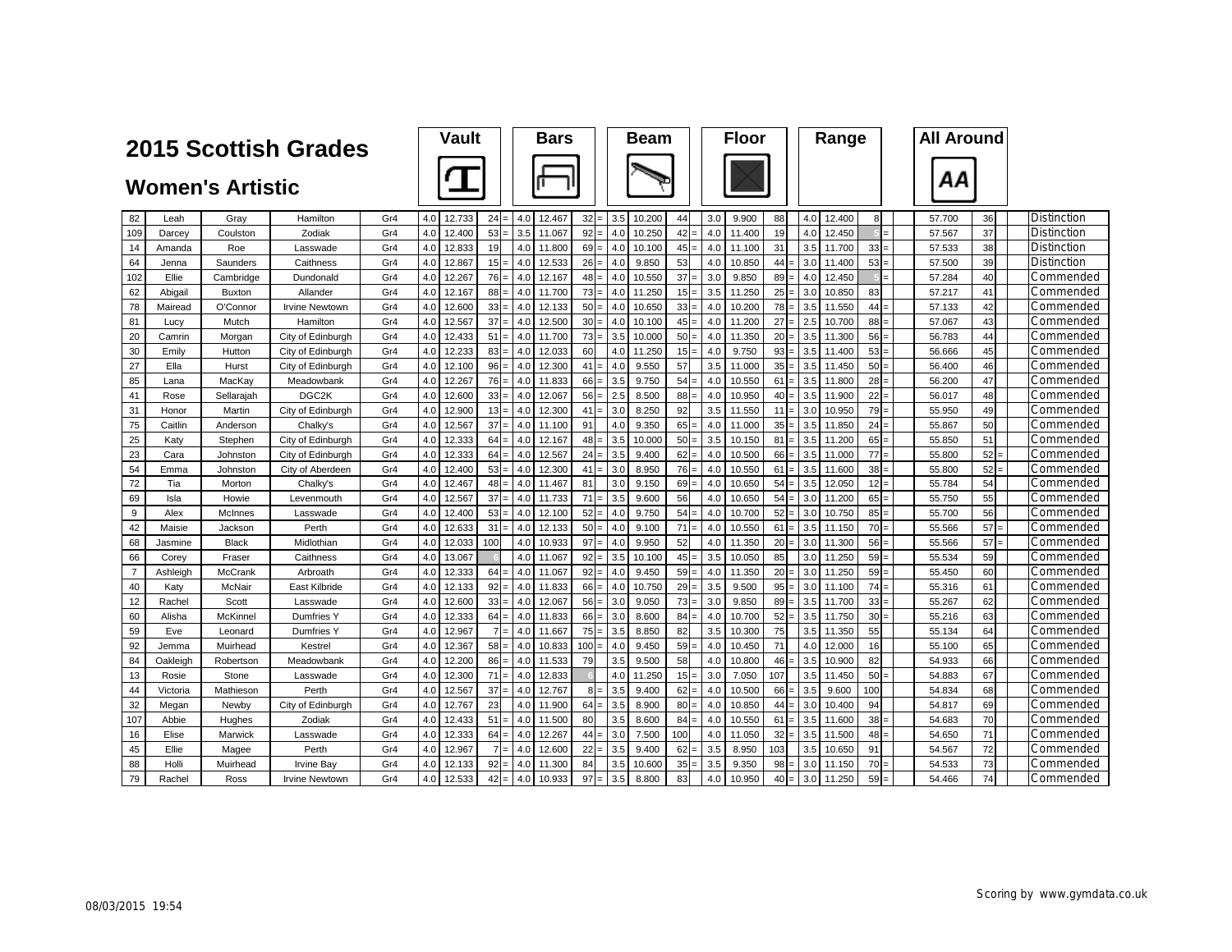|                |          |                         | 2015 Scottish Grades  |     | Vault         |                | <b>Bars</b>   |                 |     | <b>Beam</b> |     |     | <b>Floor</b> |         | Range         |                 | <b>All Around</b> |    |             |
|----------------|----------|-------------------------|-----------------------|-----|---------------|----------------|---------------|-----------------|-----|-------------|-----|-----|--------------|---------|---------------|-----------------|-------------------|----|-------------|
|                |          | <b>Women's Artistic</b> |                       |     |               |                |               |                 |     |             |     |     |              |         |               |                 | ΑА                |    |             |
| 82             | Leah     | Grav                    | Hamilton              | Gr4 | 12.733<br>4.0 | $24 =$         | 4.0<br>12.467 | $32 =$          | 3.5 | 10.200      | 44  | 3.0 | 9.900        | 88      | 4.0<br>12.400 | 8 <sup>1</sup>  | 57.700            | 36 | Distinction |
| 109            | Darcey   | Coulston                | Zodiak                | Gr4 | 4.0<br>12.400 | $53 =$         | 3.5<br>11.067 | 92              | 4.0 | 10.250      | 42  | 4.0 | 11.400       | 19      | 4.0<br>12.450 |                 | 57.567            | 37 | Distinction |
| 14             | Amanda   | Roe                     | Lasswade              | Gr4 | 4.0<br>12.833 | 19             | 4.0<br>11.800 | 69              | 4.0 | 10.100      | 45  | 4.0 | 11.100       | 31      | 3.5<br>11.700 | 33              | 57.533            | 38 | Distinction |
| 64             | Jenna    | Saunders                | Caithness             | Gr4 | 4.0<br>12.867 | $15 =$         | 4.0<br>12.533 | $26 =$          | 4.0 | 9.850       | 53  | 4.0 | 10.850       | $44 =$  | 3.0<br>11.400 | 53              | 57.500            | 39 | Distinction |
| 102            | Ellie    | Cambridge               | Dundonald             | Gr4 | 12.267<br>4.0 | $76 =$         | 4.0<br>12.167 | $48 =$          | 4.0 | 10.550      | 37  | 3.0 | 9.850        | $89 =$  | 4.0<br>12.450 |                 | 57.284            | 40 | Commended   |
| 62             | Abigail  | <b>Buxton</b>           | Allander              | Gr4 | 4.0<br>12.167 | $88 =$         | 4.0<br>11.700 | $73 =$          | 4.0 | 11.250      | 15  | 3.5 | 11.250       | 25      | 3.0<br>10.850 | 83              | 57.217            | 41 | Commended   |
| 78             | Mairead  | O'Connor                | <b>Irvine Newtown</b> | Gr4 | 4.0<br>12.600 | $33 =$         | 12.133<br>4.0 | 50              | 4.0 | 10.650      | 33  | 4.0 | 10.200       | $78 =$  | 3.5<br>11.550 | 44              | 57.133            | 42 | Commended   |
| 81             | Lucy     | Mutch                   | Hamilton              | Gr4 | 12.567<br>4.0 | 37             | 4.0<br>12.500 | 30 <sup>1</sup> | 4.0 | 10.100      | 45  | 4.0 | 11.200       | $27 =$  | 2.5<br>10.700 | 88:             | 57.067            | 43 | Commended   |
| 20             | Camrin   | Morgan                  | City of Edinburgh     | Gr4 | 4.0<br>12.433 | 51             | 4.0<br>11.700 | $73 =$          | 3.5 | 10.000      | 50  | 4.0 | 11.350       | 20      | 3.5<br>11.300 | 56              | 56.783            | 44 | Commended   |
| 30             | Emily    | Hutton                  | City of Edinburgh     | Gr4 | 4.0<br>12.233 | $83 =$         | 12.033<br>4.0 | 60              | 4.0 | 11.250      | 15  | 4.0 | 9.750        | $93 =$  | 3.5<br>11.400 | 53              | 56.666            | 45 | Commended   |
| 27             | Ella     | Hurst                   | City of Edinburgh     | Gr4 | 4.0<br>12.100 | $96 =$         | 4.0<br>12.300 | 41              | 4.0 | 9.550       | 57  | 3.5 | 11.000       | $35 =$  | 3.5<br>11.450 | 50 <sub>1</sub> | 56.400            | 46 | Commended   |
| 85             | Lana     | MacKay                  | Meadowbank            | Gr4 | 4.0<br>12.267 | $76 =$         | 4.0<br>11.833 | $66 =$          | 3.5 | 9.750       | 54  | 4.0 | 10.550       | $61 =$  | 3.5<br>11.800 | 28              | 56.200            | 47 | Commended   |
| 41             | Rose     | Sellarajah              | DGC <sub>2K</sub>     | Gr4 | 4.0<br>12.600 | $33 =$         | 12.067<br>4.0 | 56              | 2.5 | 8.500       | 88  | 4.0 | 10.950       | $40 =$  | 3.5<br>11.900 | 22              | 56.017            | 48 | Commended   |
| 31             | Honor    | Martin                  | City of Edinburgh     | Gr4 | 4.0<br>12.900 | $13 =$         | 4.0<br>12.300 | 41              | 3.0 | 8.250       | 92  | 3.5 | 11.550       | $111 =$ | 3.0<br>10.950 | 79              | 55.950            | 49 | Commended   |
| 75             | Caitlin  | Anderson                | Chalky's              | Gr4 | 4.0<br>12.567 | $37 =$         | 4.0<br>11.100 | 91              | 4.0 | 9.350       | 65  | 4.0 | 11.000       | 35      | 3.5<br>11.850 | 24              | 55.867            | 50 | Commended   |
| 25             | Katv     | Stephen                 | City of Edinburgh     | Gr4 | 4.0<br>12.333 | $64 =$         | 4.0<br>12.167 | 48              | 3.5 | 10.000      | 50  | 3.5 | 10.150       | 81      | 3.5<br>11.200 | 65              | 55.850            | 51 | Commended   |
| 23             | Cara     | Johnston                | City of Edinburgh     | Gr4 | 12.333<br>4.0 | $64 =$         | 4.0<br>12.567 | 24              | 3.5 | 9.400       | 62  | 4.0 | 10.500       | $66 =$  | 3.5<br>11.000 | 77              | 55.800            | 52 | Commended   |
| 54             | Emma     | Johnston                | City of Aberdeen      | Gr4 | 4.0<br>12.400 | $53 =$         | 4.0<br>12.300 | 41              | 3.0 | 8.950       | 76  | 4.0 | 10.550       | 61      | 3.5<br>11.600 | 38              | 55.800            | 52 | Commended   |
| 72             | Tia      | Morton                  | Chalky's              | Gr4 | 4.0<br>12.467 | $48 =$         | 4.0<br>11.467 | 81              | 3.0 | 9.150       | 69  | 4.0 | 10.650       | 54      | 3.5<br>12.050 | 12              | 55.784            | 54 | Commended   |
| 69             | Isla     | Howie                   | Levenmouth            | Gr4 | 12.567<br>4.0 | $37 =$         | 4.0<br>11.733 | 71              | 3.5 | 9.600       | 56  | 4.0 | 10.650       | $54 =$  | 3.0<br>11.200 | 65:             | 55.750            | 55 | Commended   |
| 9              | Alex     | McInnes                 | Lasswade              | Gr4 | 4.0<br>12.400 | $53 =$         | 4.0<br>12.100 | 52              | 4.0 | 9.750       | 54  | 4.0 | 10.700       | 52      | 3.0<br>10.750 | 85              | 55.700            | 56 | Commended   |
| 42             | Maisie   | Jackson                 | Perth                 | Gr4 | 4.0<br>12.633 | 31             | 4.0<br>12.133 | 50              | 4.0 | 9.100       | 71  | 4.0 | 10.550       | 61      | 3.5<br>11.150 | 70              | 55.566            | 57 | Commended   |
| 68             | Jasmine  | <b>Black</b>            | Midlothian            | Gr4 | 4.0<br>12.033 | 100            | 4.0<br>10.933 | 97              | 4.0 | 9.950       | 52  | 4.0 | 11.350       | $20 =$  | 3.0<br>11.300 | 56              | 55.566            | 57 | Commended   |
| 66             | Corey    | Fraser                  | Caithness             | Gr4 | 4.0<br>13.067 |                | 4.0<br>11.067 | $92 =$          | 3.5 | 10.100      | 45  | 3.5 | 10.050       | 85      | 3.0<br>11.250 | 59              | 55.534            | 59 | Commended   |
| $\overline{7}$ | Ashleigh | McCrank                 | Arbroath              | Gr4 | 4.0<br>12.333 | 64             | 4.0<br>11.067 | 92              | 4.0 | 9.450       | 59  | 4.0 | 11.350       | 20      | 3.0<br>11.250 | 59              | 55.450            | 60 | Commended   |
| 40             | Katy     | McNair                  | East Kilbride         | Gr4 | 4.0<br>12.133 | $92 =$         | 4.0<br>11.833 | $66 =$          | 4.0 | 10.750      | 29  | 3.5 | 9.500        | $95 =$  | 3.0<br>11.100 | $74 =$          | 55.316            | 61 | Commended   |
| 12             | Rachel   | Scott                   | Lasswade              | Gr4 | 4.0<br>12.600 | $33 =$         | 4.0<br>12.067 | $56 =$          | 3.0 | 9.050       | 73  | 3.0 | 9.850        | $89 =$  | 3.5<br>11.700 | 33 <sub>1</sub> | 55.267            | 62 | Commended   |
| 60             | Alisha   | McKinnel                | <b>Dumfries Y</b>     | Gr4 | 12.333<br>4.0 | $64 =$         | 4.0<br>11.833 | 66              | 3.0 | 8.600       | 84  | 4.0 | 10.700       | $52 =$  | 3.5<br>11.750 | 30              | 55.216            | 63 | Commended   |
| 59             | Eve      | Leonard                 | Dumfries Y            | Gr4 | 4.0<br>12.967 | $\overline{7}$ | 4.0<br>11.667 | $75 =$          | 3.5 | 8.850       | 82  | 3.5 | 10.300       | 75      | 3.5<br>11.350 | 55              | 55.134            | 64 | Commended   |
| 92             | Jemma    | Muirhead                | Kestrel               | Gr4 | 12.367<br>4.0 | $58 =$         | 10.833<br>4.0 | 100             | 4.0 | 9.450       | 59  | 4.0 | 10.450       | 71      | 12.000<br>4.0 | 16              | 55.100            | 65 | Commended   |
| 84             | Oakleigh | Robertsor               | Meadowbank            | Gr4 | 4.0<br>12.200 | $86 =$         | 4.0<br>11.533 | 79              | 3.5 | 9.500       | 58  | 4.0 | 10.800       | 46      | 3.5<br>10.900 | 82              | 54.933            | 66 | Commended   |
| 13             | Rosie    | Stone                   | Lasswade              | Gr4 | 4.0<br>12.300 | 71             | 4.0<br>12.833 |                 | 4.0 | 11.250      | 15  | 3.0 | 7.050        | 107     | 3.5<br>11.450 | 50 <sub>1</sub> | 54.883            | 67 | Commended   |
| 44             | Victoria | Mathieson               | Perth                 | Gr4 | 4.0<br>12.567 | $37 =$         | 12.767<br>4.0 | 8               | 3.5 | 9.400       | 62  | 4.0 | 10.500       | 66      | 3.5<br>9.600  | 100             | 54.834            | 68 | Commended   |
| 32             | Megan    | Newby                   | City of Edinburgh     | Gr4 | 12.767<br>4.0 | 23             | 4.0<br>11.900 | 64              | 3.5 | 8.900       | 80  | 4.0 | 10.850       | 44      | 3.0<br>10.400 | 94              | 54.817            | 69 | Commended   |
| 107            | Abbie    | Hughes                  | Zodiak                | Gr4 | 12.433<br>4.0 | 51             | 4.0<br>11.500 | 80              | 3.5 | 8.600       | 84  | 4.0 | 10.550       | $61 =$  | 3.5<br>11.600 | 38:             | 54.683            | 70 | Commended   |
| 16             | Elise    | Marwick                 | Lasswade              | Gr4 | 12.333<br>4.0 | $64 =$         | 12.267<br>4.0 | 44              | 3.0 | 7.500       | 100 | 4.0 | 11.050       | 32      | 3.5<br>11.500 | 48              | 54.650            | 71 | Commended   |
| 45             | Ellie    | Magee                   | Perth                 | Gr4 | 4.0<br>12.967 | $7 =$          | 4.0<br>12.600 | 22              | 3.5 | 9.400       | 62  | 3.5 | 8.950        | 103     | 3.5<br>10.650 | 91              | 54.567            | 72 | Commended   |
| 88             | Holli    | Muirhead                | <b>Irvine Bay</b>     | Gr4 | 4.0<br>12.133 | $92 =$         | 11.300<br>4.0 | 84              | 3.5 | 10.600      | 35  | 3.5 | 9.350        | $98 =$  | 3.0<br>11.150 | $70 =$          | 54.533            | 73 | Commended   |
| 79             | Rachel   | Ross                    | <b>Irvine Newtown</b> | Gr4 | 4.0<br>12.533 | $42 =$         | 10.933<br>4.0 | 97<br>$=$       | 3.5 | 8.800       | 83  | 4.0 | 10.950       | $40 =$  | 3.0<br>11.250 | $59 =$          | 54.466            | 74 | Commended   |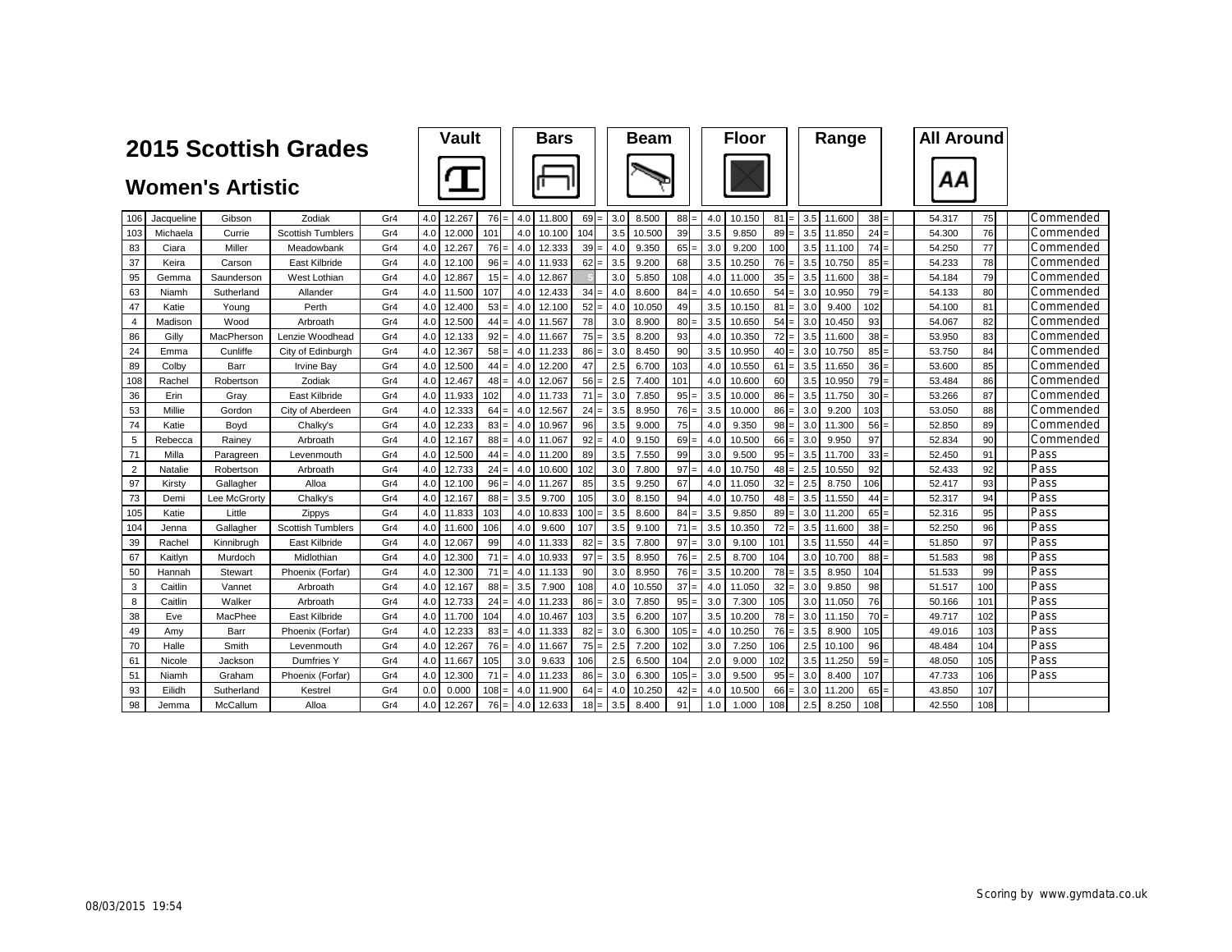|                |            | <b>2015 Scottish Grades</b> |                          |     | Vault |        |         | <b>Bars</b> |        |                 | <b>Beam</b> |        |                                | <b>Floor</b> |        |                 | Range            |            | <b>All Around</b> |        |     |           |
|----------------|------------|-----------------------------|--------------------------|-----|-------|--------|---------|-------------|--------|-----------------|-------------|--------|--------------------------------|--------------|--------|-----------------|------------------|------------|-------------------|--------|-----|-----------|
|                |            | <b>Women's Artistic</b>     |                          |     |       |        |         |             |        |                 |             |        |                                |              |        |                 |                  |            |                   | ΑА     |     |           |
| 106            | Jacqueline | Gibson                      | Zodiak                   | Gr4 | 4.0   | 12.267 | $76 =$  | 4.0         | 11.800 | 69              | 3.0         | 8.500  | 88                             | 4.0          | 10.150 | 81              |                  | 3.5 11.600 | $38 =$            | 54.317 | 75  | Commended |
| 103            | Michaela   | Currie                      | <b>Scottish Tumblers</b> | Gr4 | 4.0   | 12.000 | 101     | 4.0         | 10.100 | 104             | 3.5         | 10.500 | 39                             | 3.5          | 9.850  | 89              |                  | 3.5 11.850 | 24:               | 54.300 | 76  | Commended |
| 83             | Ciara      | Miller                      | Meadowbank               | Gr4 | 4.0   | 12.267 | $76 =$  | 4.0         | 12.333 | 39 <sub>l</sub> | 4.0         | 9.350  | 65                             | 3.0          | 9.200  | 100             | 3.5              | 11.100     | $74 =$            | 54.250 | 77  | Commended |
| 37             | Keira      | Carson                      | East Kilbride            | Gr4 | 4.0   | 12.100 | $96 =$  | 4.0         | 11.933 | 62              | 3.5         | 9.200  | 68                             | 3.5          | 10.250 | 76              | 3.5              | 10.750     | 85                | 54.233 | 78  | Commended |
| 95             | Gemma      | Saunderson                  | West Lothian             | Gr4 | 4.0   | 12.867 | $15 =$  | 4.0         | 12.867 |                 | 3.0         | 5.850  | 108                            | 4.0          | 11.000 | $35 =$          | 3.5 <sub>1</sub> | 11.600     | 38 <sup>1</sup>   | 54.184 | 79  | Commended |
| 63             | Niamh      | Sutherland                  | Allander                 | Gr4 | 4.0   | 11.500 | 107     | 4.0         | 12.433 | 34              | 4.0         | 8.600  | 84                             | 4.0          | 10.650 | 54              | 3.0 <sub>1</sub> | 10.950     | 79                | 54.133 | 80  | Commended |
| 47             | Katie      | Young                       | Perth                    | Gr4 | 4.0   | 12.400 | $53 =$  | 4.0         | 12.100 | 52              | 4.0         | 10.050 | 49                             | 3.5          | 10.150 | $81 =$          | 3.0              | 9.400      | 102               | 54.100 | 81  | Commended |
| $\overline{4}$ | Madison    | Wood                        | Arbroath                 | Gr4 | 4.0   | 12.500 | $44 =$  | 4.0         | 11.567 | 78              | 3.0         | 8.900  | 80                             | 3.5          | 10.650 | 54              | 3.0              | 10.450     | 93                | 54.067 | 82  | Commended |
| 86             | Gilly      | MacPherson                  | Lenzie Woodhead          | Gr4 | 4.0   | 12.133 | $92 =$  | 4.0         | 11.667 | 75              | 3.5         | 8.200  | 93                             | 4.0          | 10.350 | 72              | 3.5              | 11.600     | 38                | 53.950 | 83  | Commended |
| 24             | Emma       | Cunliffe                    | City of Edinburgh        | Gr4 | 4.0   | 12.367 | $58 =$  | 4.0         | 11.233 | 86              | 3.0         | 8.450  | 90                             | 3.5          | 10.950 | $40 =$          | 3.0 <sub>1</sub> | 10.750     | 85:               | 53.750 | 84  | Commended |
| 89             | Colby      | Barr                        | Irvine Bay               | Gr4 | 4.0   | 12.500 | $44 =$  | 4.0         | 12.200 | 47              | 2.5         | 6.700  | 103                            | 4.0          | 10.550 | $61 =$          | 3.5              | 11.650     | 36:               | 53.600 | 85  | Commended |
| 108            | Rachel     | Robertson                   | Zodiak                   | Gr4 | 4.0   | 12.467 | $48 =$  | 4.0         | 12.067 | 56:             | 2.5         | 7.400  | 101                            | 4.0          | 10.600 | 60              | 3.5              | 10.950     | $79 =$            | 53.484 | 86  | Commended |
| 36             | Erin       | Grav                        | East Kilbride            | Gr4 | 4.0   | 11.933 | 102     | 4.0         | 11.733 | 71              | 3.0         | 7.850  | 95                             | 3.5          | 10.000 | $86 =$          | 3.5              | 11.750     | 30 <sup>1</sup>   | 53.266 | 87  | Commended |
| 53             | Millie     | Gordon                      | City of Aberdeen         | Gr4 | 4.0   | 12.333 | $64 =$  | 4.0         | 12.567 | 24              | 3.5         | 8.950  | 76                             | 3.5          | 10.000 | $86 =$          | 3.0              | 9.200      | 103               | 53.050 | 88  | Commended |
| 74             | Katie      | Bovd                        | Chalky's                 | Gr4 | 4.0   | 12.233 | $83 =$  | 4.0         | 10.967 | 96              | 3.5         | 9.000  | 75                             | 4.0          | 9.350  | 98              | 3.0              | 11.300     | 56                | 52.850 | 89  | Commended |
| 5              | Rebecca    | Rainey                      | Arbroath                 | Gr4 | 4.0   | 12.167 | $88 =$  | 4.0         | 11.067 | 92              | 4.0         | 9.150  | 69                             | 4.0          | 10.500 | 66              | 3.0              | 9.950      | 97                | 52.834 | 90  | Commended |
| 71             | Milla      | Paragreen                   | Levenmouth               | Gr4 | 4.0   | 12.500 | $44 =$  | 4.0         | 11.200 | 89              | 3.5         | 7.550  | 99                             | 3.0          | 9.500  | 95              | 3.5              | 11.700     | 33 <sup>1</sup>   | 52.450 | 91  | Pass      |
| $\overline{2}$ | Natalie    | Robertson                   | Arbroath                 | Gr4 | 4.0   | 12.733 | $24 =$  | 4.0         | 10.600 | 102             | 3.0         | 7.800  | 97                             | 4.0          | 10.750 | $48 =$          | 2.5              | 10.550     | 92                | 52.433 | 92  | Pass      |
| 97             | Kirstv     | Gallagher                   | Alloa                    | Gr4 | 4.0   | 12.100 | $96 =$  | 4.0         | 11.267 | 85              | 3.5         | 9.250  | 67                             | 4.0          | 11.050 | $32 =$          | 2.5              | 8.750      | 106               | 52.417 | 93  | Pass      |
| 73             | Demi       | Lee McGrorty                | Chalky's                 | Gr4 | 4.0   | 12.167 | $88 =$  | 3.5         | 9.700  | 105             | 3.0         | 8.150  | 94                             | 4.0          | 10.750 | 48              | 3.5              | 11.550     | 44                | 52.317 | 94  | Pass      |
| 105            | Katie      | Little                      | Zippys                   | Gr4 | 4.0   | 11.833 | 103     | 4.0         | 10.833 | 100             | 3.5         | 8.600  | 84                             | 3.5          | 9.850  | $89 =$          | 3.0              | 11.200     | 65:               | 52.316 | 95  | Pass      |
| 104            | Jenna      | Gallagher                   | <b>Scottish Tumblers</b> | Gr4 | 4.0   | 11.600 | 106     | 4.0         | 9.600  | 107             | 3.5         | 9.100  | 71                             | 3.5          | 10.350 | $72 =$          | 3.5              | 11.600     | 38 <sub>1</sub>   | 52.250 | 96  | Pass      |
| 39             | Rachel     | Kinnibrugh                  | East Kilbride            | Gr4 | 4.0   | 12.067 | 99      | 4.0         | 11.333 | 82              | 3.5         | 7.800  | 97                             | 3.0          | 9.100  | 101             | 3.5 <sub>1</sub> | 11.550     | $44 =$            | 51.850 | 97  | Pass      |
| 67             | Kaitlvn    | Murdoch                     | Midlothian               | Gr4 | 4.0   | 12.300 | 71      | 4.0         | 10.933 | 97              | 3.5         | 8.950  | 76<br>$\overline{\phantom{0}}$ | 2.5          | 8.700  | 104             | 3.0 <sub>1</sub> | 10.700     | 88                | 51.583 | 98  | Pass      |
| 50             | Hannah     | Stewart                     | Phoenix (Forfar)         | Gr4 | 4.0   | 12.300 | $71 =$  | 4.0         | 11.133 | 90              | 3.0         | 8.950  | 76                             | 3.5          | 10.200 | $78 =$          | 3.5              | 8.950      | 104               | 51.533 | 99  | Pass      |
| 3              | Caitlin    | Vannet                      | Arbroath                 | Gr4 | 4.0   | 12.167 | $88 =$  | 3.5         | 7.900  | 108             | 4.0         | 10.550 | 37                             | 4.0          | 11.050 | 32 <sub>1</sub> | 3.0              | 9.850      | 98                | 51.517 | 100 | Pass      |
| 8              | Caitlin    | Walker                      | Arbroath                 | Gr4 | 4.0   | 12.733 | $24 =$  | 4.0         | 11.233 | 86              | 3.0         | 7.850  | 95                             | 3.0          | 7.300  | 105             | 3.0 <sub>1</sub> | 11.050     | 76                | 50.166 | 101 | Pass      |
| 38             | Eve        | MacPhee                     | East Kilbride            | Gr4 | 4.0   | 11.700 | 104     | 4.0         | 10.467 | 103             | 3.5         | 6.200  | 107                            | 3.5          | 10.200 | $78 =$          | 3.0 <sub>1</sub> | 11.150     | 70                | 49.717 | 102 | Pass      |
| 49             | Amy        | Barr                        | Phoenix (Forfar)         | Gr4 | 4.0   | 12.233 | $83 =$  | 4.0         | 11.333 | 82              | 3.0         | 6.300  | 105                            | 4.0          | 10.250 | $76 =$          | 3.5              | 8.900      | 105               | 49.016 | 103 | Pass      |
| 70             | Halle      | Smith                       | Levenmouth               | Gr4 | 4.0   | 12.267 | $76 =$  | 4.0         | 11.667 | 75              | 2.5         | 7.200  | 102                            | 3.0          | 7.250  | 106             | 2.5              | 10.100     | 96                | 48.484 | 104 | Pass      |
| 61             | Nicole     | Jackson                     | Dumfries Y               | Gr4 | 4.0   | 11.667 | 105     | 3.0         | 9.633  | 106             | 2.5         | 6.500  | 104                            | 2.0          | 9.000  | 102             | 3.5              | 11.250     | 59                | 48.050 | 105 | Pass      |
| 51             | Niamh      | Graham                      | Phoenix (Forfar)         | Gr4 | 4.0   | 12.300 | 71      | 4.0         | 11.233 | 86              | 3.0         | 6.300  | 105                            | 3.0          | 9.500  | 95              | 3.0 <sub>1</sub> | 8.400      | 107               | 47.733 | 106 | Pass      |
| 93             | Eilidh     | Sutherland                  | Kestrel                  | Gr4 | 0.0   | 0.000  | $108 =$ | 4.0         | 11.900 | 64              | 4.0         | 10.250 | 42                             | 4.0          | 10.500 | 66              | 3.0              | 11.200     | 65                | 43.850 | 107 |           |
| 98             | Jemma      | McCallum                    | Alloa                    | Gr4 | 4.0   | 12.267 | $76 =$  | 4.0         | 12.633 | $18 =$          | 3.5         | 8.400  | 91                             | 1.0          | 1.000  | 108             | 2.5              | 8.250      | 108               | 42.550 | 108 |           |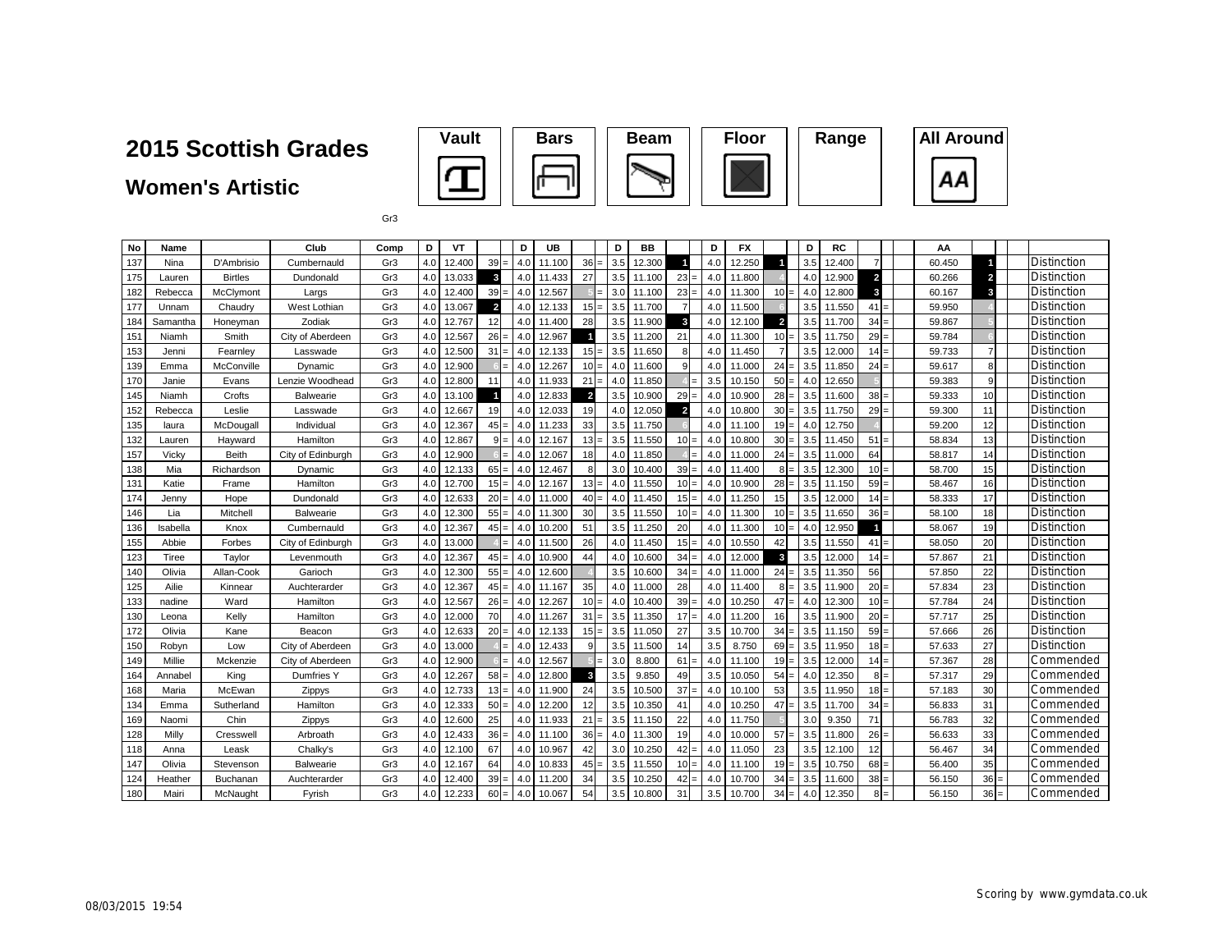**Women's Artistic**





Gr3

| No  | Name     |                | Club              | Comp            | D                | VT     |                 | D   | UB     |                | D               | BB     |                | D       | FX     |                | D   | <b>RC</b> |                | ΑА     |                 |                    |
|-----|----------|----------------|-------------------|-----------------|------------------|--------|-----------------|-----|--------|----------------|-----------------|--------|----------------|---------|--------|----------------|-----|-----------|----------------|--------|-----------------|--------------------|
| 137 | Nina     | D'Ambrisio     | Cumbernauld       | Gr3             | 4.0              | 12.400 | $39 =$          | 4.0 | 11.100 | $36 =$         | 3.5             | 12.300 | $\overline{1}$ | 4.0     | 12.250 |                | 3.5 | 12.400    |                | 60.450 |                 | <b>Distinction</b> |
| 175 | Lauren   | <b>Birtles</b> | Dundonald         | Gr3             | 4.0 <sub>1</sub> | 13.033 | $\mathbf{3}$    | 4.0 | 11.433 | 27             | 3.5             | 11.100 | $23 =$         | 4.0     | 11.800 |                | 4.0 | 12.900    | 2 <sub>1</sub> | 60.266 | $\overline{2}$  | Distinction        |
| 182 | Rebecca  | McClymont      | Largs             | Gr <sub>3</sub> | 4.0 <sub>1</sub> | 12.400 | 39              | 4.0 | 12.567 |                | 3.0             | 11.100 | $23 =$         | 4.0     | 11.300 | 10             | 4.0 | 12,800    | $\mathbf{3}$   | 60.167 | 3               | Distinction        |
| 177 | Unnam    | Chaudry        | West Lothian      | Gr3             | 4.0              | 13.067 | $\overline{2}$  | 4.0 | 12.133 | $15 =$         | 3.5             | 11.700 | $\overline{7}$ | 4.0     | 11.500 |                | 3.5 | 11.550    | 41<br>ı —      | 59.950 |                 | <b>Distinction</b> |
| 184 | Samantha | Honeyman       | Zodiak            | Gr3             | 4.0              | 12.767 | 12              | 4.0 | 11.400 | 28             | 3.5             | 11.900 | $\mathbf{3}$   | 4.0     | 12.100 | $\overline{2}$ | 3.5 | 11.700    | $34 =$         | 59.867 |                 | Distinction        |
| 151 | Niamh    | Smith          | City of Aberdeen  | Gr3             | 4.0              | 12.567 | 26              | 4.0 | 12.967 | $\blacksquare$ | 3.5             | 11.200 | 21             | 4.0     | 11.300 | 10<br>$=$      | 3.5 | 11.750    | $29 =$         | 59.784 |                 | Distinction        |
| 153 | Jenni    | Fearnley       | Lasswade          | Gr3             | 4.0              | 12.500 | $31 =$          | 4.0 | 12.133 | $15 =$         | 3.5             | 11.650 | 8              | 4.0     | 11.450 | $\overline{7}$ | 3.5 | 12,000    | $14 =$         | 59.733 | 7 <sup>1</sup>  | Distinction        |
| 139 | Emma     | McConville     | Dynamic           | Gr <sub>3</sub> | 4.0              | 12.900 |                 | 4.0 | 12.267 | $10 =$         | 4.0             | 11.600 | $\mathbf{Q}$   | 4.0     | 11.000 | 24<br>$=$      | 3.5 | 11.850    | $24 =$         | 59.617 | 8               | <b>Distinction</b> |
| 170 | Janie    | Evans          | Lenzie Woodhead   | Gr3             | 4.0              | 12.800 | 11              | 4.0 | 11.933 | 21             | 4.0<br>$=$      | 11.850 |                | 3.5     | 10.150 | 50             | 4.0 | 12.650    |                | 59.383 | 9               | <b>Distinction</b> |
| 145 | Niamh    | Crofts         | Balwearie         | Gr3             | 4.0              | 13.100 |                 | 4.0 | 12.833 | $\overline{2}$ | 3.5             | 10.900 | 29             | 4.0     | 10.900 | 28             | 3.5 | 11.600    | $38 =$         | 59.333 | 10 <sup>1</sup> | Distinction        |
| 152 | Rebecca  | Leslie         | Lasswade          | Gr3             | 4.0              | 12.667 | 19              | 4.0 | 12.033 | 19             | 4.0             | 12.050 | $\overline{2}$ | 4.0     | 10.800 | 30             | 3.5 | 11.750    | $29 =$         | 59.300 | 11              | Distinction        |
| 135 | laura    | McDougall      | Individual        | Gr3             | 4.0              | 12.367 | 45              | 4.0 | 11.233 | 33             | 3.5             | 11.750 |                | 4.0     | 11.100 | 19             | 4.0 | 12.750    |                | 59.200 | 12              | Distinction        |
| 132 | Lauren   | Hayward        | Hamilton          | Gr3             | 4.0              | 12.867 | 9               | 4.0 | 12.167 | $13 =$         | 3.5             | 11.550 | $10 =$         | 4.0     | 10,800 | 30             | 3.5 | 11.450    | 51             | 58.834 | 13              | <b>Distinction</b> |
| 157 | Vicky    | <b>Beith</b>   | City of Edinburgh | Gr3             | 4.0              | 12.900 |                 | 4.0 | 12.067 | 18             | 4.0             | 11.850 |                | 4.0     | 11.000 | 24             | 3.5 | 11.000    | 64             | 58.817 | 14              | <b>Distinction</b> |
| 138 | Mia      | Richardson     | Dynamic           | Gr3             | 4.0              | 12.133 | 65<br>$=$       | 4.0 | 12.467 | 8              | 3.0             | 10.400 | $39 =$         | 4.0     | 11.400 | 8              | 3.5 | 12.300    | 10             | 58.700 | 15              | <b>Distinction</b> |
| 131 | Katie    | Frame          | Hamilton          | Gr3             | 4.0              | 12.700 | 15 <sup>1</sup> | 4.0 | 12.167 | $13 =$         | 4.0             | 11.550 | $10 =$         | 4.0     | 10.900 | 28             | 3.5 | 11.150    | 59             | 58.467 | 16              | <b>Distinction</b> |
| 174 | Jenny    | Hope           | Dundonald         | Gr3             | 4.0 <sub>1</sub> | 12.633 | 20              | 4.0 | 11.000 | $40 =$         | 4.0             | 11.450 | $15 =$         | 4.0     | 11.250 | 15             | 3.5 | 12.000    | 14             | 58.333 | 17              | <b>Distinction</b> |
| 146 | Lia      | Mitchell       | Balwearie         | Gr3             | 4.0              | 12.300 | 55              | 4.0 | 11.300 | 30             | 3.5             | 11.550 | $10 =$         | 4.0     | 11.300 | 10             | 3.5 | 11.650    | $36 =$         | 58.100 | 18              | <b>Distinction</b> |
| 136 | Isabella | Knox           | Cumbernauld       | Gr3             | 4.0              | 12.367 | 45<br>$=$       | 4.0 | 10.200 | 51             | 3.5             | 11.250 | 20             | 4.0     | 11.300 | 10             | 4.0 | 12.950    |                | 58.067 | 19              | Distinction        |
| 155 | Abbie    | Forbes         | City of Edinburgh | Gr3             | 4.0              | 13.000 |                 | 4.0 | 11.500 | 26             | 4.0             | 11.450 | $15 =$         | 4.0     | 10.550 | 42             | 3.5 | 11.550    | 41             | 58.050 | 20              | Distinction        |
| 123 | Tiree    | Taylor         | Levenmouth        | Gr <sub>3</sub> | 4.0              | 12.367 | 45              | 4.0 | 10.900 | 44             | 4.0             | 10.600 | 34             | 4.0     | 12.000 | $\mathbf{3}$   | 3.5 | 12.000    | 14             | 57.867 | 21              | Distinction        |
| 140 | Olivia   | Allan-Cook     | Garioch           | Gr3             | 4.0              | 12.300 | 55              | 4.0 | 12.600 |                | 3.5             | 10.600 | $34 =$         | 4.0     | 11.000 | 24             | 3.5 | 11.350    | 56             | 57.850 | 22              | Distinction        |
| 125 | Ailie    | Kinnear        | Auchterarder      | Gr3             | 4.0              | 12.367 | 45              | 4.0 | 11.167 | 35             | 4.0             | 11.000 | 28             | 4.0     | 11.400 | 8<br>$=$       | 3.5 | 11.900    | 20             | 57.834 | 23              | Distinction        |
| 133 | nadine   | Ward           | Hamilton          | Gr3             | 4.0              | 12.567 | 26              | 4.0 | 12.267 | $10 =$         | 4.0             | 10.400 | $39 =$         | 4.0     | 10.250 | 47             | 4.0 | 12,300    | $10 =$         | 57.784 | 24              | Distinction        |
| 130 | Leona    | Kelly          | Hamilton          | Gr3             | 4.0              | 12.000 | 70              | 4.0 | 11.267 | 31             | 3.5<br>$\equiv$ | 11.350 | $17 =$         | 4.0     | 11.200 | 16             | 3.5 | 11.900    | $20 =$         | 57.717 | 25              | <b>Distinction</b> |
| 172 | Olivia   | Kane           | Beacon            | Gr3             | 4.0              | 12.633 | 20              | 4.0 | 12.133 | $15 =$         | 3.5             | 11.050 | 27             | $3.5\,$ | 10.700 | 34             | 3.5 | 11.150    | $59 =$         | 57.666 | 26              | <b>Distinction</b> |
| 150 | Robyn    | Low            | City of Aberdeen  | Gr3             | 4.0              | 13.000 |                 | 4.0 | 12.433 | 9              | 3.5             | 11.500 | 14             | 3.5     | 8.750  | 69<br>$=$      | 3.5 | 11.950    | $18 =$         | 57.633 | 27              | Distinction        |
| 149 | Millie   | Mckenzie       | City of Aberdeen  | Gr <sub>3</sub> | 4.0              | 12.900 |                 | 4.0 | 12.567 |                | 3.0             | 8.800  | 61             | 4.0     | 11.100 | 19<br>$=$      | 3.5 | 12,000    | $14 =$         | 57.367 | 28              | Commended          |
| 164 | Annabel  | King           | Dumfries Y        | Gr3             | 4.0              | 12.267 | $58 =$          | 4.0 | 12.800 | 3              | 3.5             | 9.850  | 49             | 3.5     | 10.050 | 54             | 4.0 | 12.350    | 8 I=           | 57.317 | 29              | Commended          |
| 168 | Maria    | McEwan         | Zippys            | Gr <sub>3</sub> | 4.0              | 12.733 | $13 =$          | 4.0 | 11.900 | 24             | 3.5             | 10.500 | 37             | 4.0     | 10.100 | 53             | 3.5 | 11.950    | $18 =$         | 57.183 | 30              | Commended          |
| 134 | Emma     | Sutherland     | Hamilton          | Gr3             | 4.0              | 12.333 | $50 =$          | 4.0 | 12.200 | 12             | 3.5             | 10.350 | 41             | 4.0     | 10.250 | 47             | 3.5 | 11.700    | $34 =$         | 56.833 | 31              | Commended          |
| 169 | Naomi    | Chin           | Zippys            | Gr3             | 4.0              | 12.600 | 25              | 4.0 | 11.933 | 21             | 3.5<br>$=$      | 11.150 | 22             | 4.0     | 11.750 |                | 3.0 | 9.350     | 71             | 56.783 | 32              | Commended          |
| 128 | Milly    | Cresswel       | Arbroath          | Gr3             | 4.0              | 12.433 | 36              | 4.0 | 11.100 | $36 =$         | 4.0             | 11.300 | 19             | 4.0     | 10.000 | 57             | 3.5 | 11.800    | $26 =$         | 56.633 | 33              | Commended          |
| 118 | Anna     | Leask          | Chalky's          | Gr3             | 4.0              | 12.100 | 67              | 4.0 | 10.967 | 42             | 3.0             | 10.250 | $42 =$         | 4.0     | 11.050 | 23             | 3.5 | 12.100    | 12             | 56.467 | 34              | Commended          |
| 147 | Olivia   | Stevenson      | Balwearie         | Gr3             | 4.0              | 12.167 | 64              | 4.0 | 10.833 | $45 =$         | 3.5             | 11.550 | $10 =$         | 4.0     | 11.100 | 19             | 3.5 | 10.750    | $68 =$         | 56.400 | 35              | Commended          |
| 124 | Heather  | Buchanan       | Auchterarder      | Gr3             | 4.0              | 12.400 | 39              | 4.0 | 11.200 | 34             | 3.5             | 10.250 | $42 =$         | 4.0     | 10.700 | 34             | 3.5 | 11.600    | $38 =$         | 56.150 | $36 =$          | Commended          |
| 180 | Mairi    | McNaught       | Fyrish            | Gr3             | 4.0              | 12.233 | 60              | 4.0 | 10.067 | 54             | 3.5             | 10.800 | 31             | 3.5     | 10.700 | 34             | 4.0 | 12.350    | 8 I=           | 56.150 | $36 =$          | Commended          |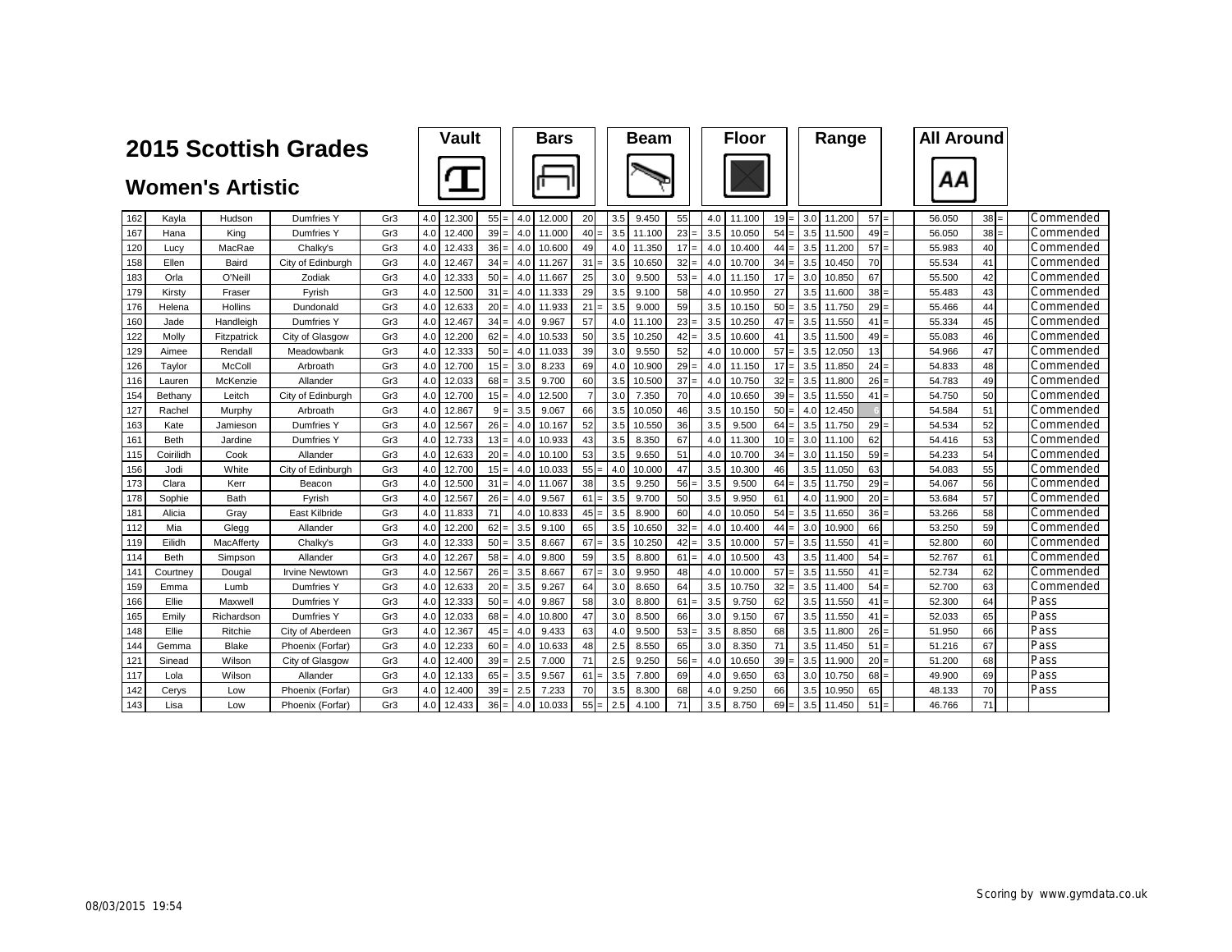|     |             |                         | <b>2015 Scottish Grades</b> |     | <b>Vault</b>  |        | <b>Bars</b>   |                |     | <b>Beam</b> |    |     | <b>Floor</b> |        | Range                      |                 | <b>All Around</b> |        |           |
|-----|-------------|-------------------------|-----------------------------|-----|---------------|--------|---------------|----------------|-----|-------------|----|-----|--------------|--------|----------------------------|-----------------|-------------------|--------|-----------|
|     |             | <b>Women's Artistic</b> |                             |     |               |        |               |                |     |             |    |     |              |        |                            |                 | ΑА                |        |           |
| 162 | Kayla       | Hudson                  | Dumfries Y                  | Gr3 | 4.0<br>12.300 | $55 =$ | 4.0<br>12.000 | 20             | 3.5 | 9.450       | 55 | 4.0 | 11.100       | $19 =$ | 3.0 <sub>1</sub><br>11.200 | $57 =$          | 56.050            | $38 =$ | Commended |
| 167 | Hana        | King                    | <b>Dumfries Y</b>           | Gr3 | 12.400<br>4.0 | $39 =$ | 4.0<br>11.000 | 40             | 3.5 | 11.100      | 23 | 3.5 | 10.050       | $54 =$ | 3.5<br>11.500              | 49              | 56.050            | 38     | Commended |
| 120 | Lucy        | MacRae                  | Chalky's                    | Gr3 | 4.0<br>12.433 | $36 =$ | 4.0<br>10.600 | 49             | 4.0 | 11.350      | 17 | 4.0 | 10.400       | $44 =$ | 3.5<br>11.200              | 57              | 55.983            | 40     | Commended |
| 158 | Ellen       | Baird                   | City of Edinburgh           | Gr3 | 4.0<br>12.467 | $34 =$ | 4.0<br>11.267 | 31             | 3.5 | 10.650      | 32 | 4.0 | 10.700       | $34 =$ | 3.5<br>10.450              | 70              | 55.534            | 41     | Commended |
| 183 | Orla        | O'Neill                 | Zodiak                      | Gr3 | 4.0<br>12.333 | $50 =$ | 4.0<br>11.667 | 25             | 3.0 | 9.500       | 53 | 4.0 | 11.150       | $17 =$ | 3.0<br>10.850              | 67              | 55.500            | 42     | Commended |
| 179 | Kirsty      | Fraser                  | Fvrish                      | Gr3 | 4.0<br>12.500 | 31     | 4.0<br>11.333 | 29             | 3.5 | 9.100       | 58 | 4.0 | 10.950       | 27     | 3.5<br>11.600              | 38:             | 55.483            | 43     | Commended |
| 176 | Helena      | <b>Hollins</b>          | Dundonald                   | Gr3 | 4.0<br>12.633 | $20 =$ | 11.933<br>4.0 | 21             | 3.5 | 9.000       | 59 | 3.5 | 10.150       | $50 =$ | 3.5<br>11.750              | 29:             | 55.466            | 44     | Commended |
| 160 | Jade        | Handleigh               | Dumfries Y                  | Gr3 | 12.467<br>4.0 | $34 =$ | 4.0<br>9.967  | 57             | 4.0 | 11.100      | 23 | 3.5 | 10.250       | 47     | 3.5<br>11.550              | $41 =$          | 55.334            | 45     | Commended |
| 122 | Molly       | Fitzpatrick             | City of Glasgow             | Gr3 | 12.200<br>4.0 | $62 =$ | 10.533<br>4.0 | 50             | 3.5 | 10.250      | 42 | 3.5 | 10.600       | 41     | 11.500<br>3.5              | 49              | 55.083            | 46     | Commended |
| 129 | Aimee       | Rendall                 | Meadowbank                  | Gr3 | 12.333<br>4.0 | $50 =$ | 11.033<br>4.0 | 39             | 3.0 | 9.550       | 52 | 4.0 | 10.000       | 57     | 3.5<br>12.050              | 13              | 54.966            | 47     | Commended |
| 126 | Taylor      | McColl                  | Arbroath                    | Gr3 | 12.700<br>4.0 | $15 =$ | 3.0<br>8.233  | 69             | 4.0 | 10.900      | 29 | 4.0 | 11.150       | $17 =$ | 3.5<br>11.850              | 24 <sub>1</sub> | 54.833            | 48     | Commended |
| 116 | Lauren      | McKenzie                | Allander                    | Gr3 | 4.0<br>12.033 | $68 =$ | 9.700<br>3.5  | 60             | 3.5 | 10.500      | 37 | 4.0 | 10.750       | $32 =$ | 3.5<br>11.800              | $26 =$          | 54.783            | 49     | Commended |
| 154 | Bethany     | Leitch                  | City of Edinburgh           | Gr3 | 4.0<br>12.700 | $15 =$ | 12.500<br>4.0 | $\overline{7}$ | 3.0 | 7.350       | 70 | 4.0 | 10.650       | $39 =$ | 3.5<br>11.550              | 41              | 54.750            | 50     | Commended |
| 127 | Rachel      | Murphy                  | Arbroath                    | Gr3 | 4.0<br>12.867 | $9 =$  | 3.5<br>9.067  | 66             | 3.5 | 10.050      | 46 | 3.5 | 10.150       | $50 =$ | 4.0<br>12.450              |                 | 54.584            | 51     | Commended |
| 163 | Kate        | Jamieson                | <b>Dumfries Y</b>           | Gr3 | 4.0<br>12.567 | $26 =$ | 4.0<br>10.167 | 52             | 3.5 | 10.550      | 36 | 3.5 | 9.500        | $64 =$ | 3.5<br>11.750              | 29              | 54.534            | 52     | Commended |
| 161 | <b>Beth</b> | Jardine                 | Dumfries Y                  | Gr3 | 4.0<br>12.733 | $13 =$ | 4.0<br>10.933 | 43             | 3.5 | 8.350       | 67 | 4.0 | 11.300       | $10 =$ | 3.0<br>11.100              | 62              | 54.416            | 53     | Commended |
| 115 | Coirilidh   | Cook                    | Allander                    | Gr3 | 4.0<br>12.633 | $20 =$ | 4.0<br>10.100 | 53             | 3.5 | 9.650       | 51 | 4.0 | 10.700       | $34 =$ | 3.0 <sub>1</sub><br>11.150 | 59              | 54.233            | 54     | Commended |
| 156 | Jodi        | White                   | City of Edinburgh           | Gr3 | 4.0<br>12.700 | $15 =$ | 4.0<br>10.033 | 55             | 4.0 | 10.000      | 47 | 3.5 | 10.300       | 46     | 3.5<br>11.050              | 63              | 54.083            | 55     | Commended |
| 173 | Clara       | Kerr                    | Beacor                      | Gr3 | 4.0<br>12.500 | $31 =$ | 4.0<br>11.067 | 38             | 3.5 | 9.250       | 56 | 3.5 | 9.500        | $64 =$ | 3.5<br>11.750              | $29 =$          | 54.067            | 56     | Commended |
| 178 | Sophie      | Bath                    | Fyrish                      | Gr3 | 4.0<br>12.567 | $26 =$ | 4.0<br>9.567  | 61             | 3.5 | 9.700       | 50 | 3.5 | 9.950        | 61     | 11.900<br>4.0              | $20 =$          | 53.684            | 57     | Commended |
| 181 | Alicia      | Grav                    | East Kilbride               | Gr3 | 4.0<br>11.833 | 71     | 4.0<br>10.833 | $45 =$         | 3.5 | 8.900       | 60 | 4.0 | 10.050       | $54 =$ | 3.5<br>11.650              | $36 -$          | 53.266            | 58     | Commended |
| 112 | Mia         | Glegg                   | Allander                    | Gr3 | 4.0<br>12.200 | $62 =$ | 3.5<br>9.100  | 65             | 3.5 | 10.650      | 32 | 4.0 | 10.400       | $44 =$ | 3.0<br>10.900              | 66              | 53.250            | 59     | Commended |
| 119 | Eilidh      | MacAfferty              | Chalky's                    | Gr3 | 12.333<br>4.0 | $50 =$ | 3.5<br>8.667  | 67             | 3.5 | 10.250      | 42 | 3.5 | 10.000       | 57     | 11.550<br>3.5              | $41 =$          | 52.800            | 60     | Commended |
| 114 | <b>Beth</b> | Simpson                 | Allander                    | Gr3 | 4.0<br>12.267 | $58 =$ | 4.0<br>9.800  | 59             | 3.5 | 8.800       | 61 | 4.0 | 10.500       | 43     | 3.5<br>11.400              | 54:             | 52.767            | 61     | Commended |
| 141 | Courtney    | Dougal                  | <b>Irvine Newtown</b>       | Gr3 | 12.567<br>4.0 | $26 =$ | 3.5<br>8.667  | 67             | 3.0 | 9.950       | 48 | 4.0 | 10.000       | $57 =$ | 3.5<br>11.550              | 41              | 52.734            | 62     | Commended |
| 159 | Emma        | Lumb                    | <b>Dumfries Y</b>           | Gr3 | 4.0<br>12.633 | $20 =$ | 3.5<br>9.267  | 64             | 3.0 | 8.650       | 64 | 3.5 | 10.750       | $32 =$ | 3.5<br>11.400              | 54 <sub>1</sub> | 52.700            | 63     | Commended |
| 166 | Ellie       | Maxwell                 | <b>Dumfries Y</b>           | Gr3 | 4.0<br>12.333 | $50 =$ | 4.0<br>9.867  | 58             | 3.0 | 8.800       | 61 | 3.5 | 9.750        | 62     | 3.5<br>11.550              | 41              | 52.300            | 64     | Pass      |
| 165 | Emily       | Richardson              | <b>Dumfries Y</b>           | Gr3 | 4.0<br>12.033 | $68 =$ | 10.800<br>4.0 | 47             | 3.0 | 8.500       | 66 | 3.0 | 9.150        | 67     | 3.5<br>11.550              | 41              | 52.033            | 65     | Pass      |
| 148 | Ellie       | Ritchie                 | City of Aberdeen            | Gr3 | 4.0<br>12.367 | $45 =$ | 9.433<br>4.0  | 63             | 4.0 | 9.500       | 53 | 3.5 | 8.850        | 68     | 3.5<br>11.800              | 26:             | 51.950            | 66     | Pass      |
| 144 | Gemma       | <b>Blake</b>            | Phoenix (Forfar)            | Gr3 | 4.0<br>12.233 | $60 =$ | 10.633<br>4.0 | 48             | 2.5 | 8.550       | 65 | 3.0 | 8.350        | 71     | 3.5<br>11.450              | $51 =$          | 51.216            | 67     | Pass      |
| 121 | Sinead      | Wilson                  | City of Glasgow             | Gr3 | 4.0<br>12.400 | $39 =$ | 2.5<br>7.000  | 71             | 2.5 | 9.250       | 56 | 4.0 | 10.650       | 39     | 3.5<br>11.900              | $20 =$          | 51.200            | 68     | Pass      |
| 117 | Lola        | Wilson                  | Allander                    | Gr3 | 12.133<br>4.0 | $65 =$ | 3.5<br>9.567  | 61             | 3.5 | 7.800       | 69 | 4.0 | 9.650        | 63     | 3.0<br>10.750              | 68              | 49.900            | 69     | Pass      |
| 142 | Cerys       | Low                     | Phoenix (Forfar)            | Gr3 | 4.0<br>12.400 | $39 =$ | 2.5<br>7.233  | 70             | 3.5 | 8.300       | 68 | 4.0 | 9.250        | 66     | 3.5<br>10.950              | 65              | 48.133            | 70     | Pass      |
| 143 | Lisa        | Low                     | Phoenix (Forfar)            | Gr3 | 12.433<br>4.0 | $36 =$ | 4.0<br>10.033 | $55 =$         | 2.5 | 4.100       | 71 | 3.5 | 8.750        | $69 =$ | 3.5<br>11.450              | $51 =$          | 46.766            | 71     |           |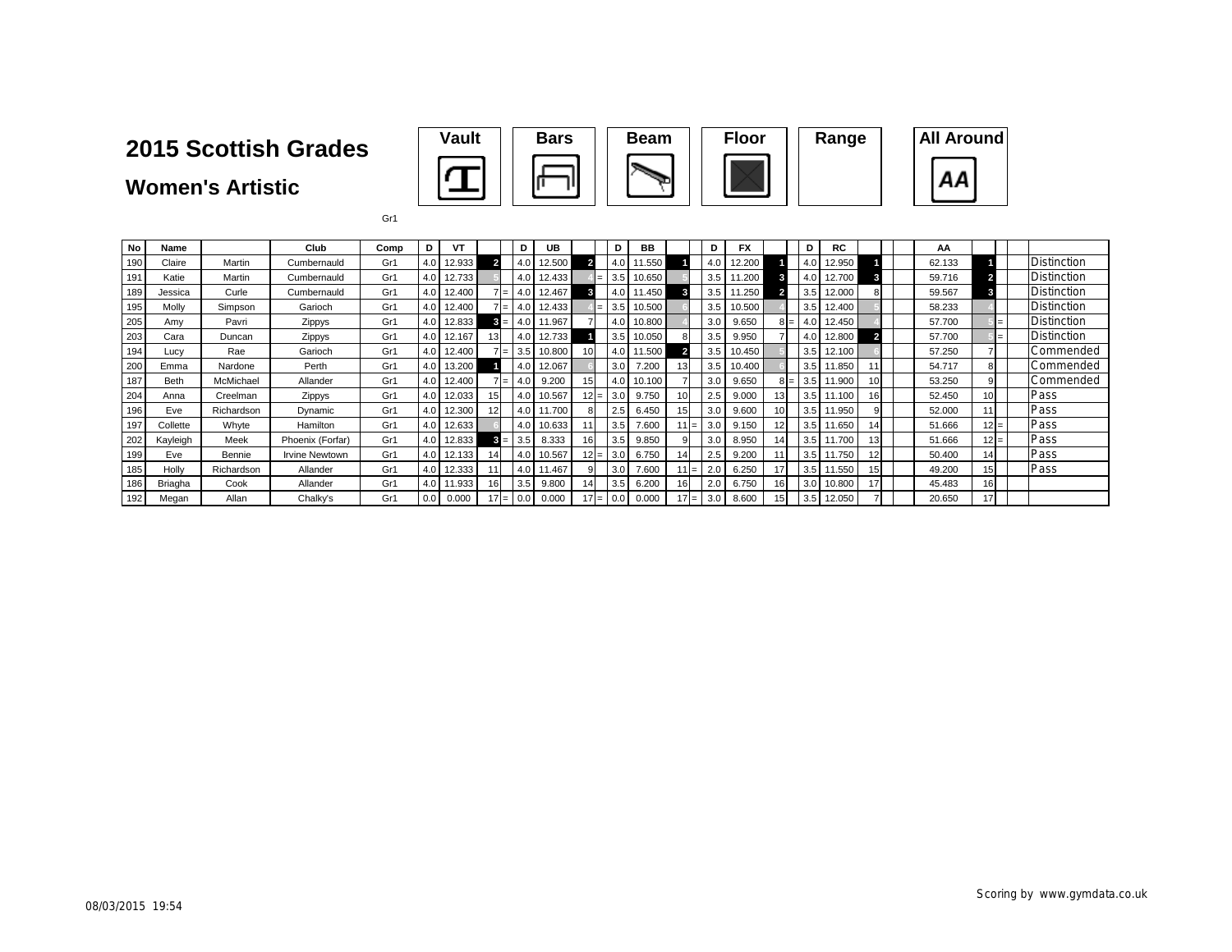**Women's Artistic**



Gr1

| No  | Name        |            | Club                  | Comp | ח   | VT     |                 | D                      | UB     |                 | D   | BB     |    |                | D              | FX     |                 | D   | <b>RC</b>  |                 | ΑА     |        |                    |
|-----|-------------|------------|-----------------------|------|-----|--------|-----------------|------------------------|--------|-----------------|-----|--------|----|----------------|----------------|--------|-----------------|-----|------------|-----------------|--------|--------|--------------------|
| 190 | Claire      | Martin     | Cumbernauld           | Gr1  | 4.0 | 12.933 |                 | 4.0                    | 12.500 |                 | 4.0 | 11.550 |    |                | 4.0            | 12.200 |                 | 4.0 | 12.950     |                 | 62.133 |        | Distinction        |
| 191 | Katie       | Martin     | Cumbernauld           | Gr1  | 4.0 | 12.733 |                 | 4.0                    | 12.433 |                 | 3.5 | 10.650 |    |                | 3.5            | 11.200 |                 | 4.0 | 12.700     |                 | 59.716 |        | Distinction        |
| 189 | Jessica     | Curle      | Cumbernauld           | Gr1  | 4.0 | 12.400 |                 | 4.0<br>$=$             | 12.467 | 3               | 4.0 | 1.450  |    | 3              | 3.5            | .250   |                 | 3.5 | 12.000     |                 | 59.567 | 3      | <b>Distinction</b> |
| 195 | Molly       | Simpson    | Garioch               | Gr1  |     | 12.400 |                 | 4.0<br>$=$             | 12.433 |                 | 3.5 | 10.500 |    |                | 3.5            | 10.500 |                 | 3.5 | 12.400     |                 | 58.233 |        | <b>Distinction</b> |
| 205 | Amv         | Pavri      | Zippys                | Gr1  |     | 12.833 | 3               | 4.0                    | 11.967 |                 | 4.0 | 10.800 |    |                | 3.0            | 9.650  | 81=             | 4.0 | 12.450     |                 | 57.700 |        | <b>Distinction</b> |
| 203 | Cara        | Duncan     | Zippys                | Gr1  | 4.0 | 12.167 | 13              | 4.0                    | 12.733 |                 | 3.5 | 10.050 |    |                | 3.5            | 9.950  |                 | 4.0 | 12.800     | 2               | 57.700 |        | <b>Distinction</b> |
| 194 | Lucy        | Rae        | Garioch               | Gr1  | 4.0 | 12.400 |                 | 3.5<br>$=$             | 0.800  | 10 <sup>1</sup> | 4.0 | 11.500 |    |                | 3.5            | 0.450  |                 | 3.5 | 12.100     |                 | 57.250 |        | Commended          |
| 200 | Emma        | Nardone    | Perth                 | Gr1  | 4.0 | 13.200 |                 | 4.0                    | 12.067 |                 | 3.0 | 7.200  | 13 |                | 3.5            | 0.400  |                 | 3.5 | 11.850     |                 | 54.717 | 8      | Commended          |
| 187 | <b>Beth</b> | McMichael  | Allander              | Gr1  | 4.0 | 12.400 |                 | 4.0<br>$=$             | 9.200  | 15 <sub>l</sub> | 4.0 | 10.100 |    |                | 3.0            | 9.650  | 81=             | 3.5 | 11.900     | 10 <sup>1</sup> | 53.250 | 9      | Commended          |
| 204 | Anna        | Creelman   | Zippys                | Gr1  | 4.0 | 12.033 | 15              | 4.0                    | 10.567 | $12 =$          | 3.0 | 9.750  | 10 |                | 2.5            | 9.000  |                 | 3.5 | 11.100     | 16 <sup>1</sup> | 52.450 | 10     | Pass               |
| 196 | Eve         | Richardson | Dynamic               | Gr1  | 4.0 | 12.300 |                 | 4.0                    | 11.700 |                 | 2.5 | 6.450  | 15 |                | 3.0            | 9.600  |                 |     | 3.5 11.950 |                 | 52.000 |        | Pass               |
| 197 | Collette    | Whyte      | Hamilton              | Gr1  | 4.0 | 12.633 |                 | 4.0                    | 10.633 |                 | 3.5 | 7.600  |    |                | 3.0            | 9.150  |                 | 3.5 | 11.650     | 14              | 51.666 | $12 =$ | Pass               |
| 202 | Kayleigh    | Meek       | Phoenix (Forfar)      | Gr1  |     | 12.833 | 3               | 3.5<br>=               | 8.333  | 16 <sup>1</sup> | 3.5 | 9.850  |    |                | 3.0            | 8.950  |                 | 3.5 | 11.700     |                 | 51.666 | $12 =$ | Pass               |
| 199 | Eve         | Bennie     | <b>Irvine Newtown</b> | Gr1  | 4.0 | 12.133 | 14              | 4.0                    | 10.567 | $12 =$          | 3.0 | 6.750  | 14 |                | 2.5            | 9.200  |                 | 3.5 | 11.750     | 12 <sup>1</sup> | 50.400 | 14     | Pass               |
| 185 | Holly       | Richardson | Allander              | Gr1  | 4.0 | 12.333 |                 | 4.0                    | 11.467 |                 | 3.0 | 7.600  |    |                | 2.0            | 6.250  |                 | 3.5 | 11.550     |                 | 49.200 | 15     | Pass               |
| 186 | Briagha     | Cook       | Allander              | Gr1  | 4.0 | 1.933  | 16 <sub>1</sub> | 3.5                    | 9.800  | 14              | 3.5 | 6.200  | 16 |                | 2 <sub>c</sub> | 6.750  | 16 <sub>1</sub> | 3.0 | 10.800     | 17              | 45.483 | 16     |                    |
| 192 | Megan       | Allan      | Chalky's              | Gr1  | 0.0 | 0.000  |                 | 0.0<br>$\cdot = \cdot$ | 0.000  |                 | 0.0 | 0.000  |    | $\mathbf{I} =$ | 3.0            | 8.600  |                 | 3.5 | 12.050     |                 | 20.650 | 17     |                    |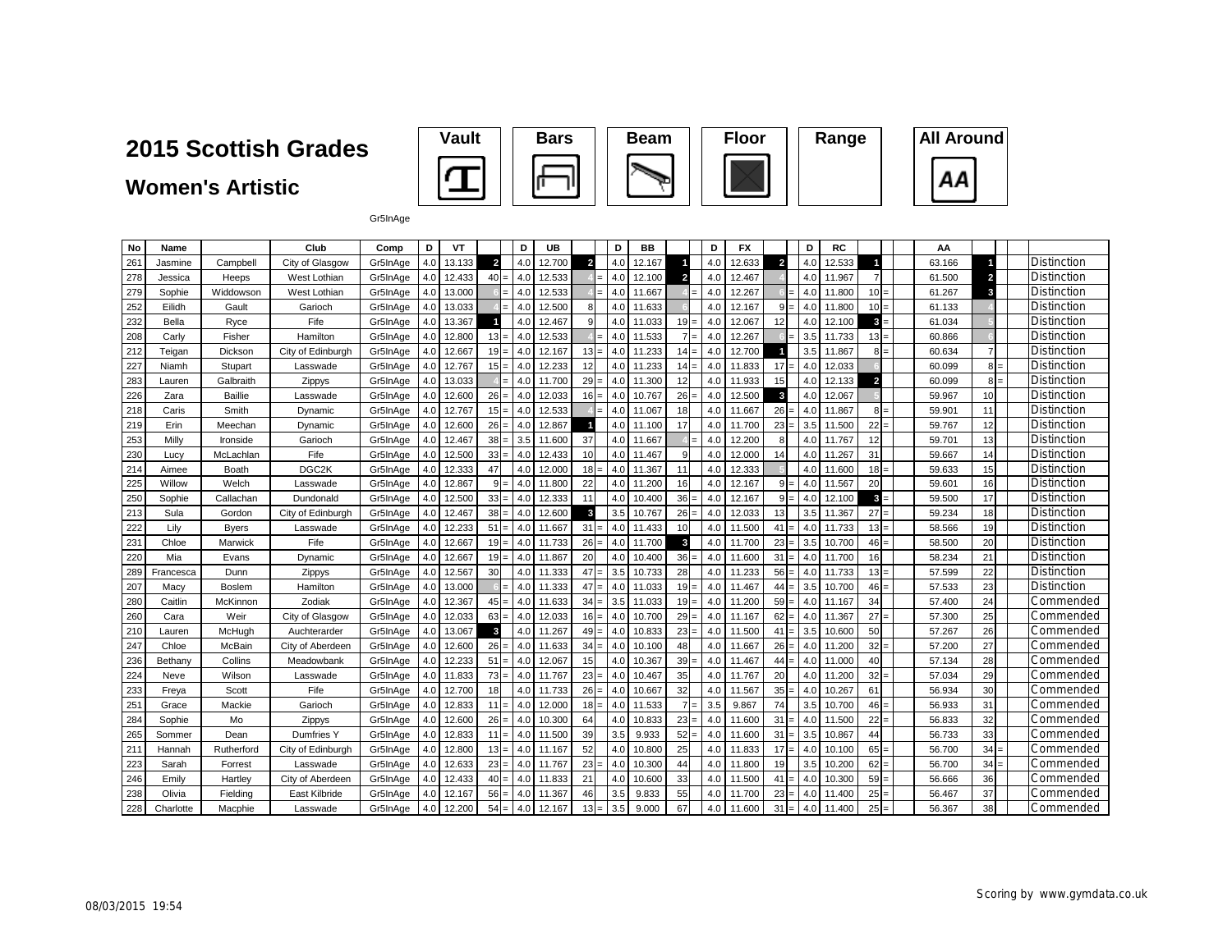### **Women's Artistic**



Gr5InAge

| No  | Name      |                | Club              | Comp     | D                | VT     |                | D   | UB     |                 | D   | BB     |                         | D   | FX     |                | D   | RC     |                | AA     |                 |                    |
|-----|-----------|----------------|-------------------|----------|------------------|--------|----------------|-----|--------|-----------------|-----|--------|-------------------------|-----|--------|----------------|-----|--------|----------------|--------|-----------------|--------------------|
| 261 | Jasmine   | Campbel        | City of Glasgow   | Gr5InAge | 4.0              | 13.133 | $\overline{2}$ | 4.0 | 12.700 | $\overline{2}$  | 4.0 | 12.167 |                         | 4.0 | 12.633 | $\overline{2}$ | 4.0 | 12.533 |                | 63.166 | и               | Distinction        |
| 278 | Jessica   | Heeps          | West Lothian      | Gr5InAge | 4.0              | 12.433 | $40 =$         | 4.0 | 12.533 | $=$             | 4.0 | 12.100 | $\overline{2}$          | 4.0 | 12.467 |                | 4.0 | 11.967 | $\overline{7}$ | 61.500 | $\overline{2}$  | <b>Distinction</b> |
| 279 | Sophie    | Widdowson      | West Lothian      | Gr5InAge | 4.0 <sub>1</sub> | 13.000 |                | 4.0 | 12.533 |                 | 4.0 | 11.667 |                         | 4.0 | 12.267 |                | 4.0 | 11.800 | $10 =$         | 61.267 | 3               | <b>Distinction</b> |
| 252 | Eilidh    | Gault          | Garioch           | Gr5InAge | 4.0              | 13.033 |                | 4.0 | 12.500 | 8               | 4.0 | 11.633 |                         | 4.0 | 12.167 | $9 =$          | 4.0 | 11.800 | $10 =$         | 61.133 |                 | <b>Distinction</b> |
| 232 | Bella     | Ryce           | Fife              | Gr5InAge | 4.0              | 13.367 | $\blacksquare$ | 4.0 | 12.467 | 9               | 4.0 | 11.033 | $19 =$                  | 4.0 | 12.067 | 12             | 4.0 | 12.100 | $3 =$          | 61.034 |                 | Distinction        |
| 208 | Carly     | Fisher         | Hamilton          | Gr5InAge | 4.0              | 12.800 | $13 =$         | 4.0 | 12.533 |                 | 4.0 | 11.533 | $7 =$                   | 4.0 | 12.267 |                | 3.5 | 11.733 | $13 =$         | 60.866 |                 | Distinction        |
| 212 | Teigan    | Dickson        | City of Edinburgh | Gr5InAge | 4.0              | 12.667 | $19 =$         | 4.0 | 12.167 | $13 =$          | 4.0 | 11.233 | $14 =$                  | 4.0 | 12.700 |                | 3.5 | 11.867 | $8 =$          | 60.634 | $\overline{7}$  | Distinction        |
| 227 | Niamh     | Stupart        | Lasswade          | Gr5InAge | 4.0              | 12.767 | $15 =$         | 4.0 | 12.233 | 12              | 4.0 | 11.233 | $14 =$                  | 4.0 | 11.833 | 17<br>$=$      | 4.0 | 12.033 |                | 60.099 | $8 =$           | Distinction        |
| 283 | Lauren    | Galbraith      | Zippys            | Gr5InAge | 4.0              | 13.033 |                | 4.0 | 11.700 | $29 =$          | 4.0 | 11.300 | 12                      | 4.0 | 11.933 | 15             | 4.0 | 12.133 | $\overline{2}$ | 60.099 | $8 =$           | Distinction        |
| 226 | Zara      | <b>Baillie</b> | Lasswade          | Gr5InAge | 4.0              | 12.600 | $26 =$         | 4.0 | 12.033 | $16 =$          | 4.0 | 10.767 | 26                      | 4.0 | 12.500 | $\mathbf{3}$   | 4.0 | 12.067 |                | 59.967 | 10 <sup>1</sup> | Distinction        |
| 218 | Caris     | Smith          | Dynamic           | Gr5InAge | 4.0              | 12.767 | $15 =$         | 4.0 | 12.533 |                 | 4.0 | 11.067 | 18 <sup>l</sup>         | 4.0 | 11.667 | 26             | 4.0 | 11.867 | $8 =$          | 59.901 | 11              | Distinction        |
| 219 | Erin      | Meechar        | Dynamic           | Gr5InAge | 4.0              | 12.600 | $26 =$         | 4.0 | 12.867 | 1               | 4.0 | 11.100 | 17                      | 4.0 | 11.700 | 23             | 3.5 | 11.500 | $22 =$         | 59.767 | 12              | Distinction        |
| 253 | Milly     | Ironside       | Garioch           | Gr5InAge | 4.0              | 12.467 | $38 =$         | 3.5 | 11.600 | 37              | 4.0 | 11.667 |                         | 4.0 | 12.200 | 8              | 4.0 | 11.767 | 12             | 59.701 | 13              | Distinction        |
| 230 | Lucy      | McLachlan      | Fife              | Gr5InAge | 4.0              | 12.500 | $33 =$         | 4.0 | 12.433 | 10 <sup>1</sup> | 4.0 | 11.467 | 9                       | 4.0 | 12.000 | 14             | 4.0 | 11.267 | 31             | 59.667 | 14              | Distinction        |
| 214 | Aimee     | Boath          | DGC <sub>2K</sub> | Gr5InAge | 4.0              | 12.333 | 47             | 4.0 | 12.000 | $18 =$          | 4.0 | 11.367 | 11                      | 4.0 | 12.333 |                | 4.0 | 11.600 | $18 =$         | 59.633 | 15              | Distinction        |
| 225 | Willow    | Welch          | Lasswade          | Gr5InAge | 4.0              | 12.867 | $9 =$          | 4.0 | 11.800 | 22              | 4.0 | 11.200 | 16                      | 4.0 | 12.167 | $9 =$          | 4.0 | 11.567 | 20             | 59.601 | 16              | Distinction        |
| 250 | Sophie    | Callachan      | Dundonald         | Gr5InAge | 4.0              | 12.500 | $33 =$         | 4.0 | 12.333 | 11              | 4.0 | 10.400 | 36                      | 4.0 | 12.167 | $9 =$          | 4.0 | 12.100 | $3 =$          | 59.500 | 17              | Distinction        |
| 213 | Sula      | Gordon         | City of Edinburgh | Gr5InAge | 4.0              | 12.467 | 38             | 4.0 | 12.600 | $\mathbf{3}$    | 3.5 | 10.767 | 26:                     | 4.0 | 12.033 | 13             | 3.5 | 11.367 | $27 =$         | 59.234 | 18              | Distinction        |
| 222 | Lilv      | <b>Byers</b>   | Lasswade          | Gr5InAge | 4.0              | 12.233 | $51 =$         | 4.0 | 11.667 | $31 =$          | 4.0 | 11.433 | 10                      | 4.0 | 11.500 | 41             | 4.0 | 11.733 | $13 =$         | 58.566 | 19              | Distinction        |
| 231 | Chloe     | Marwick        | Fife              | Gr5InAge | 4.0              | 12.667 | $19 =$         | 4.0 | 11.733 | $26 =$          | 4.0 | 11.700 | $\overline{\mathbf{3}}$ | 4.0 | 11.700 | 23             | 3.5 | 10.700 | $46 =$         | 58.500 | 20              | Distinction        |
| 220 | Mia       | Evans          | Dynamic           | Gr5InAge | 4.0              | 12.667 | $19 =$         | 4.0 | 11.867 | 20              | 4.0 | 10.400 | $36 -$                  | 4.0 | 11.600 | 31             | 4.0 | 11.700 | 16             | 58.234 | 21              | <b>Distinction</b> |
| 289 | Francesca | Dunn           | Zippys            | Gr5InAge | 4.0              | 12.567 | 30             | 4.0 | 11.333 | $47 =$          | 3.5 | 10.733 | 28                      | 4.0 | 11.233 | 56<br>$=$      | 4.0 | 11.733 | $13 =$         | 57.599 | 22              | Distinction        |
| 207 | Macv      | <b>Boslem</b>  | Hamilton          | Gr5InAge | 4.0              | 13.000 |                | 4.0 | 11.333 | $47 =$          | 4.0 | 11.033 | $19 =$                  | 4.0 | 11.467 | 44             | 3.5 | 10.700 | $46 =$         | 57.533 | 23              | Distinction        |
| 280 | Caitlin   | McKinnon       | Zodiak            | Gr5InAge | 4.0              | 12.367 | $45 =$         | 4.0 | 11.633 | $34 =$          | 3.5 | 11.033 | $19 =$                  | 4.0 | 11.200 | $59 =$         | 4.0 | 11.167 | 34             | 57.400 | 24              | Commended          |
| 260 | Cara      | Weir           | City of Glasgow   | Gr5InAge | 4.0              | 12.033 | $63 =$         | 4.0 | 12.033 | $16 =$          | 4.0 | 10.700 | $29 =$                  | 4.0 | 11.167 | $62 =$         | 4.0 | 11.367 | $27 =$         | 57.300 | 25              | Commended          |
| 210 | Lauren    | McHugh         | Auchterarder      | Gr5InAge | 4.0              | 13.067 | $\mathbf{3}$   | 4.0 | 11.267 | $49 =$          | 4.0 | 10.833 | $23 =$                  | 4.0 | 11.500 | 41             | 3.5 | 10.600 | 50             | 57.267 | 26              | Commended          |
| 247 | Chloe     | McBain         | City of Aberdeen  | Gr5InAge | 4.0              | 12.600 | $26 =$         | 4.0 | 11.633 | $34 =$          | 4.0 | 10.100 | 48                      | 4.0 | 11.667 | 26             | 4.0 | 11.200 | $32 =$         | 57.200 | 27              | Commended          |
| 236 | Bethany   | Collins        | Meadowbank        | Gr5InAge | 4.0              | 12.233 | $51 =$         | 4.0 | 12.067 | 15              | 4.0 | 10.367 | 39                      | 4.0 | 11.46  | 44             | 4.0 | 11.000 | 40             | 57.134 | 28              | Commended          |
| 224 | Neve      | Wilson         | Lasswade          | Gr5InAge | 4.0              | 11.833 | $73 =$         | 4.0 | 11.767 | $23 -$          | 4.0 | 10.467 | 35                      | 4.0 | 11.767 | 20             | 4.0 | 11.200 | $32 =$         | 57.034 | 29              | Commended          |
| 233 | Freya     | Scott          | Fife              | Gr5InAge | 4.0              | 12.700 | 18             | 4.0 | 11.733 | $26 =$          | 4.0 | 10.667 | 32                      | 4.0 | 11.567 | 35             | 4.0 | 10.267 | 61             | 56.934 | 30              | Commended          |
| 251 | Grace     | Mackie         | Garioch           | Gr5InAge | 4.0              | 12.833 | $11 =$         | 4.0 | 12.000 | $18 =$          | 4.0 | 11.533 | 7:                      | 3.5 | 9.867  | 74             | 3.5 | 10.700 | $46 =$         | 56.933 | 31              | Commended          |
| 284 | Sophie    | Mo             | Zippys            | Gr5InAge | 4.0              | 12.600 | 26             | 4.0 | 10.300 | 64              | 4.0 | 10.833 | $23 =$                  | 4.0 | 11.600 | 31             | 4.0 | 11.500 | $22 =$         | 56.833 | 32              | Commended          |
| 265 | Sommer    | Dean           | <b>Dumfries Y</b> | Gr5InAge | 4.0              | 12.833 | $11 =$         | 4.0 | 11.500 | 39              | 3.5 | 9.933  | $52 -$                  | 4.0 | 11.600 | 31             | 3.5 | 10.867 | 44             | 56.733 | 33              | Commended          |
| 211 | Hannah    | Rutherford     | City of Edinburgh | Gr5InAge | 4.0              | 12.800 | $13 =$         | 4.0 | 11.167 | 52              | 4.0 | 10.800 | 25                      | 4.0 | 11.833 | 17             | 4.0 | 10.100 | $65 =$         | 56.700 | $34 -$          | Commended          |
| 223 | Sarah     | Forrest        | Lasswade          | Gr5InAge | 4.0              | 12.633 | $23 =$         | 4.0 | 11.767 | $23 =$          | 4.0 | 10.300 | 44                      | 4.0 | 11.800 | 19             | 3.5 | 10.200 | $62 =$         | 56.700 | 34              | Commended          |
| 246 | Emily     | Hartley        | City of Aberdeen  | Gr5InAge | 4.0              | 12.433 | $40 =$         | 4.0 | 11.833 | 21              | 4.0 | 10.600 | 33                      | 4.0 | 11.500 | 41             | 4.0 | 10.300 | $59 =$         | 56.666 | 36              | Commended          |
| 238 | Olivia    | Fielding       | East Kilbride     | Gr5InAge | 4.0              | 12.167 | 56             | 4.0 | 11.367 | 46              | 3.5 | 9.833  | 55                      | 4.0 | 11.700 | $23 =$         | 4.0 | 11.400 | $25 =$         | 56.467 | 37              | Commended          |
| 228 | Charlotte | Macphie        | Lasswade          | Gr5InAge | 4.0              | 12.200 | $54 =$         | 4.0 | 12.167 | $13 =$          | 3.5 | 9.000  | 67                      | 4.0 | 11.600 | 31<br>$=$      | 4.0 | 11.400 | $25 =$         | 56.367 | 38              | Commended          |

AA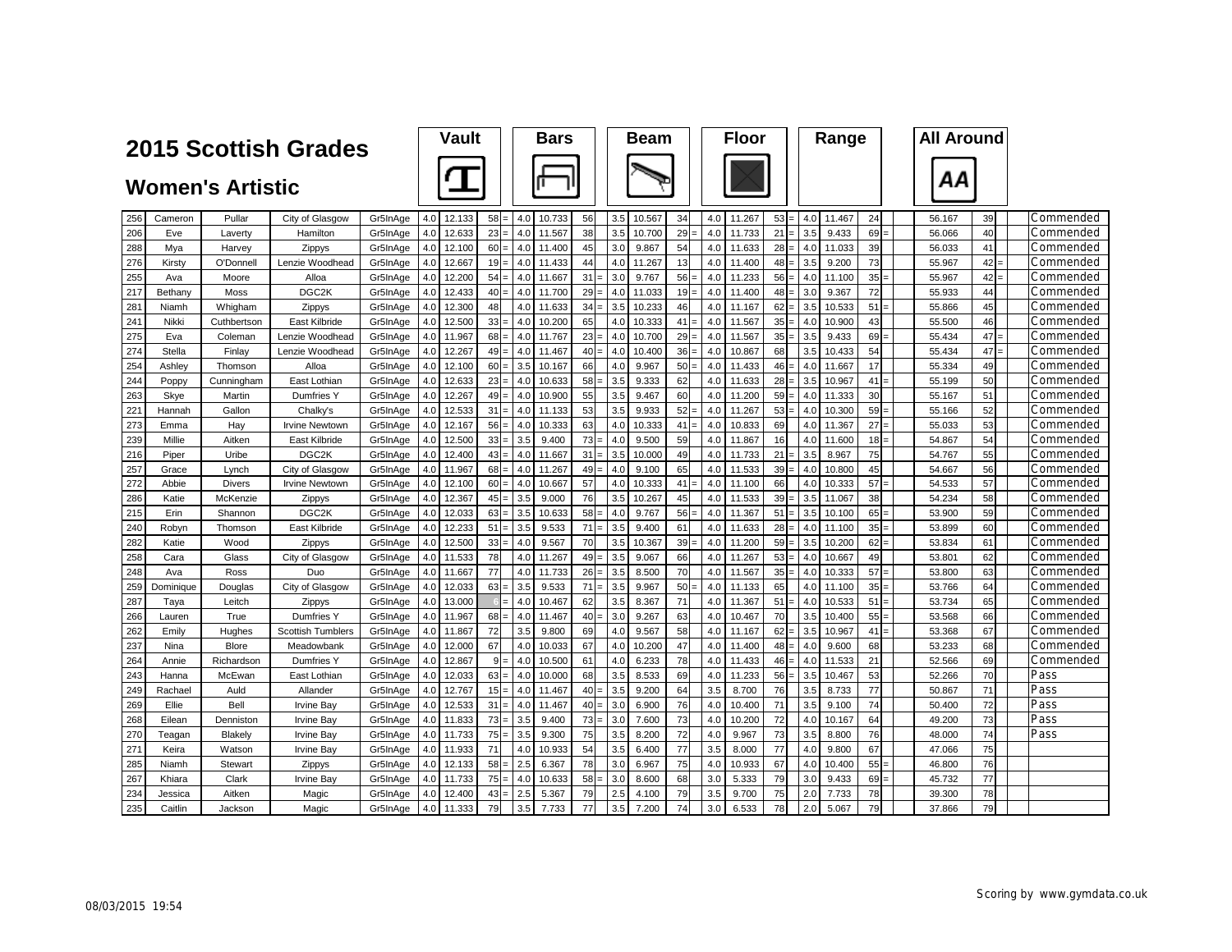|            |               |                         | <b>2015 Scottish Grades</b>            |                      | <b>Vault</b>                   |          |            | <b>Bars</b>     |          |            | <b>Beam</b>     |          |            | <b>Floor</b>     |                  |            | Range           |          | <b>All Around</b> |          |                        |
|------------|---------------|-------------------------|----------------------------------------|----------------------|--------------------------------|----------|------------|-----------------|----------|------------|-----------------|----------|------------|------------------|------------------|------------|-----------------|----------|-------------------|----------|------------------------|
|            |               |                         |                                        |                      |                                |          |            |                 |          |            |                 |          |            |                  |                  |            |                 |          |                   |          |                        |
|            |               | <b>Women's Artistic</b> |                                        |                      |                                |          |            |                 |          |            |                 |          |            |                  |                  |            |                 |          | ΑА                |          |                        |
| 256        | Cameron       | Pullar                  | City of Glasgow                        | Gr5InAge             | 12.133<br>4.0                  | $58 =$   | 4.0        | 10.733          | 56       | 3.5        | 10.567          | 34       | 4.0        | 11.267           | 53               | 4.0        | 11.467          | 24       | 56.167            | 39       | Commended              |
| 206        | Eve           | Laverty                 | Hamilton                               | Gr5InAge             | 4.0<br>12.633                  | $23 =$   | 4.0        | 11.567          | 38       | 3.5        | 10.700          | 29       | 4.0        | 11.733           | 21               | 3.5        | 9.433           | 69       | 56.066            | 40       | Commended              |
| 288        | Mya           | Harvey                  | Zippys                                 | Gr5InAge             | 12.100<br>4.0                  | $60 =$   | 4.0        | 11.400          | 45       | 3.0        | 9.867           | 54       | 4.0        | 11.633           | $28 =$           | 4.0        | 11.033          | 39       | 56.033            | 41       | Commended              |
| 276        | Kirstv        | O'Donnel                | Lenzie Woodhead                        | Gr5InAge             | 4.0<br>12.667                  | $19 =$   | 4.0        | 11.433          | 44       | 4.0        | 11.267          | 13       | 4.0        | 11.400           | $48 =$           | 3.5        | 9.200           | 73       | 55.967            | 42       | Commended              |
| 255        | Ava           | Moore                   | Alloa                                  | Gr5InAge             | 4.0<br>12.200                  | $54 =$   | 4.0        | 11.667          | 31       | 3.0        | 9.767           | 56       | 4.0        | 11.233           | 56               | 4.0        | 11.100          | 35       | 55.967            | 42       | Commended              |
| 217        | Bethany       | Moss                    | DGC <sub>2K</sub>                      | Gr5InAge             | 4.0<br>12.433                  | 40       | 4.0        | 11.700          | 29       | 4.0        | 11.033          | 19       | 4.0        | 11.400           | $48 =$           | 3.0        | 9.367           | 72       | 55.933            | 44       | Commended              |
| 281        | Niamh         | Whigham                 | Zippys                                 | Gr5InAge             | 4.0<br>12.300                  | 48       | 4.0        | 11.633          | 34       | 3.5        | 10.233          | 46       | 4.0        | 11.167           | $62 =$           | 3.5        | 10.533          | 51       | 55.866            | 45       | Commended              |
| 241        | Nikki         | Cuthbertson             | East Kilbride                          | Gr5InAge             | 4.0<br>12.500                  | $33 -$   | 4.0        | 10.200          | 65       | 4.0        | 10.333          | 41       | 4.0        | 11.567           | $35 =$           | 4.0        | 10.900          | 43       | 55.500            | 46       | Commended              |
| 275        | Eva           | Coleman                 | Lenzie Woodhead                        | Gr5InAge             | 11.967<br>4.0                  | $68 =$   | 4.0        | 11.767          | 23       | 4.0        | 10.700          | 29       | 4.0        | 11.567           | $35 =$           | 3.5        | 9.433           | 69       | 55.434            | 47       | Commended              |
| 274        | Stella        | Finlay                  | Lenzie Woodhead                        | Gr5InAge             | 4.0<br>12.267                  | $49 =$   | 4.0        | 11.467          | 40       | 4.0        | 10.400          | 36       | 4.0        | 10.867           | 68               | 3.5        | 10.433          | 54       | 55.434            | 47       | Commended              |
| 254        | Ashley        | Thomson                 | Alloa                                  | Gr5InAge             | 12.100<br>4.0                  | 60       | 3.5        | 10.167          | 66       | 4.0        | 9.967           | 50       | 4.0        | 11.433           | 46               | 4.0        | 11.667          | 17       | 55.334            | 49       | Commended              |
| 244        | Poppy         | Cunningham              | East Lothian                           | Gr5InAge             | 4.0<br>12.633                  | $23 =$   | 4.0        | 10.633          | 58       | 3.5        | 9.333           | 62       | 4.0        | 11.633           | $28 =$           | 3.5        | 10.967          | 41       | 55.199            | 50       | Commended              |
| 263        | Skye          | Martin                  | Dumfries Y                             | Gr5InAge             | 12.267<br>4.0                  | $49 =$   | 4.0        | 10.900          | 55       | 3.5        | 9.467           | 60       | 4.0        | 11.200           | $59 =$           | 4.0        | 11.333          | 30       | 55.167            | 51       | Commended              |
| 221        | Hannah        | Gallon                  | Chalky's                               | Gr5InAge             | 12.533<br>4.0                  | 31       | 4.0        | 11.133          | 53       | 3.5        | 9.933           | 52       | 4.0        | 11.267           | 53               | 4.0        | 10.300          | 59       | 55.166            | 52       | Commended              |
| 273        | Emma          | Hay                     | <b>Irvine Newtowr</b>                  | Gr5InAge             | 4.0<br>12.167                  | $56 =$   | 4.0        | 10.333          | 63       | 4.0        | 10.333          | 41       | 4.0        | 10.833           | 69               | 4.0        | 11.367          | 27       | 55.033            | 53       | Commended              |
| 239        | Millie        | Aitken                  | East Kilbride                          | Gr5InAge             | 4.0<br>12.500                  | $33 =$   | 3.5        | 9.400           | 73       | 4.0        | 9.500           | 59       | 4.0        | 11.867           | 16               | 4.0        | 11.600          | 18       | 54.867            | 54       | Commended              |
| 216        | Piper         | Uribe                   | DGC <sub>2K</sub>                      | Gr5InAge             | 4.0<br>12.400                  | $43 =$   | 4.0        | 11.667          | 31       | 3.5        | 10.000          | 49       | 4.0        | 11.733           | 21               | 3.5        | 8.967           | 75       | 54.767            | 55       | Commended              |
| 257        | Grace         | Lynch                   | City of Glasgow                        | Gr5InAge             | 4.0<br>11.967                  | $68 =$   | 4.0        | 11.267          | 49       | 4.0        | 9.100           | 65       | 4.0        | 11.533           | $39 =$           | 4.0        | 10.800          | 45       | 54.667            | 56       | Commended              |
| 272        | Abbie         | <b>Divers</b>           | <b>Irvine Newtown</b>                  | Gr5InAge             | 12.100<br>4.0                  | $60 =$   | 4.0        | 10.667          | 57       | 4.0        | 10.333          | 41       | 4.0        | 11.100           | 66               | 4.0        | 10.333          | 57       | 54.533            | 57       | Commended              |
| 286        | Katie         | McKenzie                | Zippys                                 | Gr5InAge             | 12.367<br>4.0                  | $45 =$   | 3.5        | 9.000           | 76       | 3.5        | 10.267          | 45       | 4.0        | 11.533           | 39               | 3.5        | 11.067          | 38       | 54.234            | 58       | Commended              |
| 215        | Erin          | Shannon                 | DGC <sub>2K</sub>                      | Gr5InAge             | 4.0<br>12.033                  | $63 =$   | 3.5        | 10.633          | 58       | 4.0        | 9.767           | 56       | 4.0        | 11.367           | 51               | 3.5        | 10.100          | 65       | 53.900            | 59       | Commended              |
| 240        | Robyn         | Thomson                 | East Kilbride                          | Gr5InAge             | 12.233<br>4.0                  | 51       | 3.5        | 9.533           | 71       | 3.5        | 9.400           | 61       | 4.0        | 11.633           | 28               | 4.0        | 11.100          | 35       | 53.899            | 60       | Commended              |
| 282        | Katie         | Wood                    | Zippys                                 | Gr5InAge             | 12.500<br>4.0                  | $33 =$   | 4.0        | 9.567           | 70       | 3.5        | 10.367          | 39       | 4.0        | 11.200           | $59 =$           | 3.5        | 10.200          | 62       | 53.834            | 61       | Commended              |
| 258        | Cara          | Glass                   | City of Glasgow                        | Gr5InAge             | 4.0<br>11.533                  | 78       | 4.0        | 11.267          | 49       | 3.5        | 9.067           | 66       | 4.0        | 11.267           | $53 =$           | 4.0        | 10.667          | 49       | 53.801            | 62       | Commended              |
| 248        | Ava           | Ross                    | Duo                                    | Gr5InAge             | 4.0<br>11.667                  | 77       | 4.0        | 11.733          | 26       | 3.5        | 8.500           | 70       | 4.0        | 11.567           | $35 =$           | 4.0        | 10.333          | 57       | 53.800            | 63       | Commended              |
| 259        | Dominique     | Douglas                 | City of Glasgow                        | Gr5InAge             | 4.0<br>12.033                  | $63 =$   | 3.5        | 9.533           | 71       | 3.5        | 9.967           | 50       | 4.0        | 11.133           | 65               | 4.0        | 11.100          | 35       | 53.766            | 64       | Commended              |
| 287        | Taya          | Leitch                  | Zippys                                 | Gr5InAge             | 4.0<br>13.000                  |          | 4.0        | 10.467          | 62       | 3.5        | 8.367           | 71       | 4.0        | 11.367           | 51               | 4.0        | 10.533          | 51       | 53.734            | 65       | Commended              |
| 266        | Lauren        | True                    | Dumfries Y                             | Gr5InAge             | 4.0<br>11.967                  | $68 =$   | 4.0        | 11.467          | 40       | 3.0<br>4.0 | 9.267           | 63<br>58 | 4.0<br>4.0 | 10.467           | 70               | 3.5        | 10.400          | 55       | 53.568            | 66<br>67 | Commended              |
| 262<br>237 | Emily<br>Nina | Hughes<br><b>Blore</b>  | <b>Scottish Tumblers</b><br>Meadowbank | Gr5InAge<br>Gr5InAge | 4.0<br>11.867<br>4.0<br>12.000 | 72<br>67 | 3.5<br>4.0 | 9.800<br>10.033 | 69<br>67 | 4.0        | 9.567<br>10.200 | 47       | 4.0        | 11.167<br>11.400 | $62 =$<br>$48 =$ | 3.5<br>4.0 | 10.967<br>9.600 | 41<br>68 | 53.368<br>53.233  | 68       | Commended<br>Commended |
| 264        | Annie         | Richardson              | Dumfries Y                             | Gr5InAge             | 4.0<br>12.867                  | $9 =$    | 4.0        | 10.500          | 61       | 4.0        | 6.233           | 78       | 4.0        | 11.433           | $46 =$           | 4.0        | 11.533          | 21       | 52.566            | 69       | Commended              |
| 243        | Hanna         | McEwar                  | East Lothian                           | Gr5InAge             | 4.0<br>12.033                  | $63 =$   | 4.0        | 10.000          | 68       | 3.5        | 8.533           | 69       | 4.0        | 11.233           | 56               | 3.5        | 10.467          | 53       | 52.266            | 70       | Pass                   |
| 249        | Rachael       | Auld                    | Allander                               | Gr5InAge             | 4.0<br>12.767                  | $15 =$   | 4.0        | 11.467          | 40       | 3.5        | 9.200           | 64       | 3.5        | 8.700            | 76               | 3.5        | 8.733           | 77       | 50.867            | 71       | Pass                   |
| 269        | Ellie         | Bell                    | Irvine Bay                             | Gr5InAge             | 4.0<br>12.533                  | $31 =$   | 4.0        | 11.467          | 40       | 3.0        | 6.900           | 76       | 4.0        | 10.400           | 71               | 3.5        | 9.100           | 74       | 50.400            | 72       | Pass                   |
| 268        | Eilean        | Denniston               | <b>Irvine Bay</b>                      | Gr5InAge             | 4.0<br>11.833                  | $73 =$   | 3.5        | 9.400           | 73       | 3.0        | 7.600           | 73       | 4.0        | 10.200           | 72               | 4.0        | 10.167          | 64       | 49.200            | 73       | Pass                   |
| 270        | Teagan        | Blakely                 | <b>Irvine Bay</b>                      | Gr5InAge             | 4.0<br>11.733                  | $75 =$   | 3.5        | 9.300           | 75       | 3.5        | 8.200           | 72       | 4.0        | 9.967            | 73               | 3.5        | 8.800           | 76       | 48.000            | 74       | Pass                   |
| 271        | Keira         | Watson                  | Irvine Bay                             | Gr5InAge             | 4.0<br>11.933                  | 71       | 4.0        | 10.933          | 54       | 3.5        | 6.400           | 77       | 3.5        | 8.000            | 77               | 4.0        | 9.800           | 67       | 47.066            | 75       |                        |
| 285        | Niamh         | Stewart                 | Zippys                                 | Gr5InAge             | 12.133<br>4.0                  | 58       | 2.5        | 6.367           | 78       | 3.0        | 6.967           | 75       | 4.0        | 10.933           | 67               | 4.0        | 10.400          | 55       | 46.800            | 76       |                        |
| 267        | Khiara        | Clark                   | Irvine Bay                             | Gr5InAge             | 4.0<br>11.733                  | $75 =$   | 4.0        | 10.633          | 58       | 3.0        | 8.600           | 68       | 3.0        | 5.333            | 79               | 3.0        | 9.433           | 69       | 45.732            | 77       |                        |
| 234        | Jessica       | Aitken                  | Magic                                  | Gr5InAge             | 4.0<br>12.400                  | $43 =$   | 2.5        | 5.367           | 79       | 2.5        | 4.100           | 79       | 3.5        | 9.700            | 75               | 2.0        | 7.733           | 78       | 39.300            | 78       |                        |
| 235        | Caitlin       | Jackson                 | Magic                                  | Gr5InAge             | 4.0<br>11.333                  | 79       | 3.5        | 7.733           | 77       | 3.5        | 7.200           | 74       | 3.0        | 6.533            | 78               | 2.0        | 5.067           | 79       | 37.866            | 79       |                        |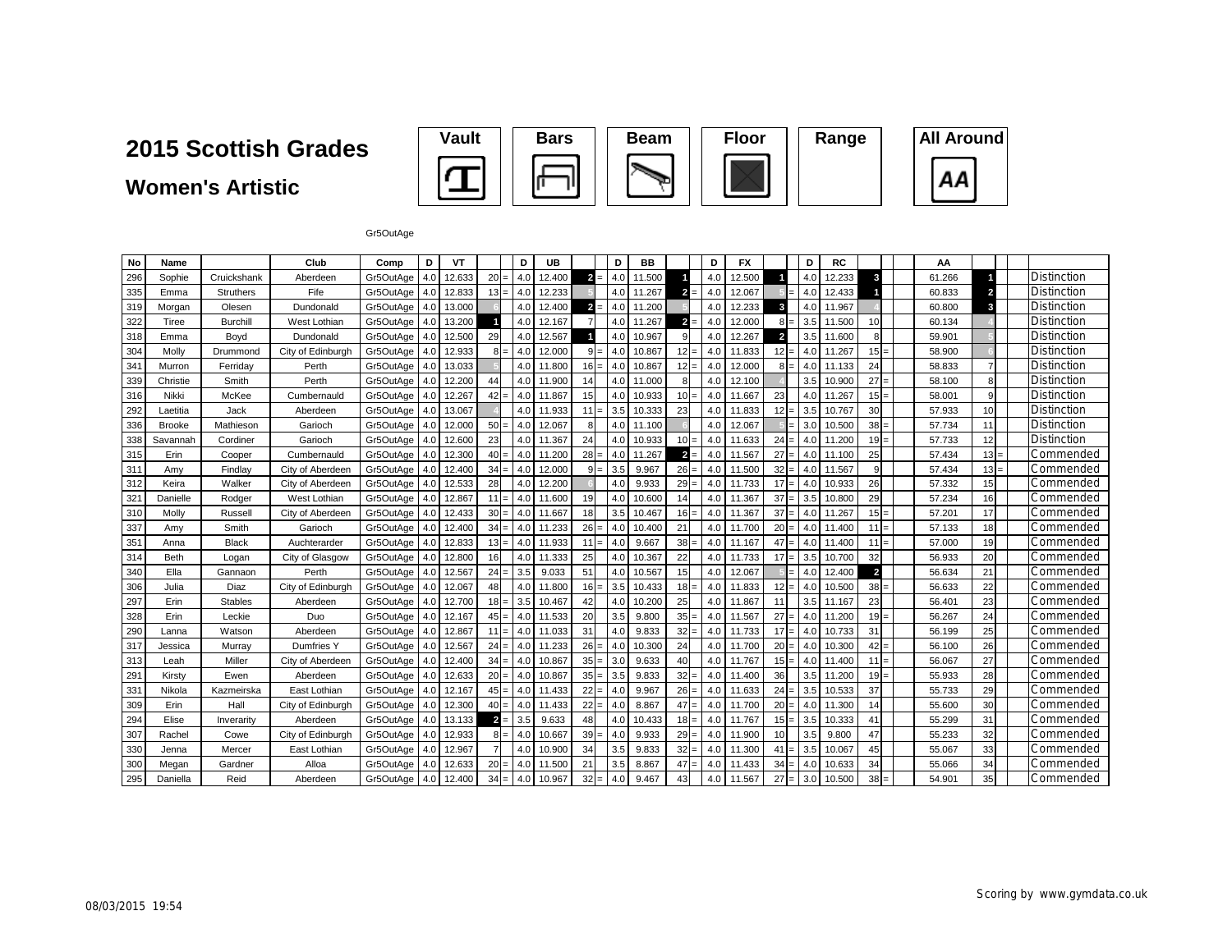**Women's Artistic**



Gr5OutAge

| No  | Name          |                 | Club              | Comp          | D   | VT     |                       | D          | UB     |                         | D   | BB     |                | D   | <b>FX</b> |                         | D   | <b>RC</b> |                | ΑА     |                |                    |
|-----|---------------|-----------------|-------------------|---------------|-----|--------|-----------------------|------------|--------|-------------------------|-----|--------|----------------|-----|-----------|-------------------------|-----|-----------|----------------|--------|----------------|--------------------|
| 296 | Sophie        | Cruickshank     | Aberdeen          | Gr5OutAge     | 4.0 | 12.633 | 20                    | 4.0<br>$=$ | 12.400 | $\overline{2}$<br>$=$   | 4.0 | 11.500 |                | 4.0 | 12.500    |                         | 4.0 | 12.233    | 3              | 61.266 |                | <b>Distinction</b> |
| 335 | Emma          | Struthers       | Fife              | Gr5OutAge     | 4.0 | 12.833 | $13 =$                | 4.0        | 12.233 |                         | 4.0 | 11.267 | $\overline{2}$ | 4.0 | 12.067    |                         | 4.0 | 12.433    |                | 60.833 | $\overline{2}$ | <b>Distinction</b> |
| 319 | Morgan        | Olesen          | Dundonald         | Gr5OutAge     | 4.0 | 13.000 |                       | 4.0        | 12.400 | $\overline{\mathbf{2}}$ | 4.0 | 11.200 |                | 4.0 | 12.233    | 3                       | 4.0 | 11.967    |                | 60.800 | 3              | <b>Distinction</b> |
| 322 | Tiree         | <b>Burchill</b> | West Lothian      | Gr5OutAge     | 4.0 | 13.200 |                       | 4.0        | 12.167 |                         | 4.0 | 11.267 | $\overline{2}$ | 4.0 | 12.000    | 8                       | 3.5 | 11.500    | 10             | 60.134 |                | Distinction        |
| 318 | Emma          | Boyd            | Dundonald         | Gr5OutAge     | 4.0 | 12.500 | 29                    | 4.0        | 12.567 | и                       | 4.0 | 10.967 | 9              | 4.0 | 12.267    | $\overline{\mathbf{2}}$ | 3.5 | 11.600    |                | 59.901 |                | Distinction        |
| 304 | Molly         | Drummond        | City of Edinburgh | Gr5OutAge     | 4.0 | 12.933 | $8 =$                 | 4.0        | 12.000 | $9 =$                   | 4.0 | 10.867 | $12 =$         | 4.0 | 11.833    | 12<br>$=$               | 4.0 | 11.267    | $15 =$         | 58.900 |                | Distinction        |
| 341 | Murron        | Ferriday        | Perth             | Gr5OutAge     | 4.0 | 13.033 |                       | 4.0        | 11.800 | $16 =$                  | 4.0 | 10.867 | $12 =$         | 4.0 | 12.000    | 8<br>$=$                | 4.0 | 11.133    | 24             | 58.833 | $\overline{7}$ | <b>Distinction</b> |
| 339 | Christie      | Smith           | Perth             | Gr5OutAge     | 4.0 | 12.200 | 44                    | 4.0        | 11.900 | 14                      | 4.0 | 11.000 | 8              | 4.0 | 12.100    |                         | 3.5 | 10.900    | $27 =$         | 58.100 | 8              | Distinction        |
| 316 | Nikki         | McKee           | Cumbernauld       | Gr5OutAge 4.0 |     | 12.267 | $42 =$                | 4.0        | 11.867 | 15                      | 4.0 | 10.933 | $10 =$         | 4.0 | 11.667    | 23                      | 4.0 | 11.267    | $15 =$         | 58.001 | 9              | Distinction        |
| 292 | Laetitia      | Jack            | Aberdeen          | Gr5OutAge     | 4.0 | 13.067 |                       | 4.0        | 11.933 | $11 =$                  | 3.5 | 10.333 | 23             | 4.0 | 11.833    | 12<br>$=$               | 3.5 | 10.767    | 30             | 57.933 | 10             | Distinction        |
| 336 | <b>Brooke</b> | Mathieson       | Garioch           | Gr5OutAge     | 4.0 | 12.000 | 50                    | 4.0<br>$=$ | 12.067 | 8                       | 4.0 | 11.100 |                | 4.0 | 12.067    |                         | 3.0 | 10.500    | $38 =$         | 57.734 | 11             | <b>Distinction</b> |
| 338 | Savannah      | Cordiner        | Garioch           | Gr5OutAge     | 4.0 | 12.600 | 23                    | 4.0        | 11.367 | 24                      | 4.0 | 10.933 | $10 =$         | 4.0 | 11.633    | 24<br>$=$               | 4.0 | 11.200    | $19 =$         | 57.733 | 12             | <b>Distinction</b> |
| 315 | Erin          | Cooper          | Cumbernauld       | Gr5OutAge     | 4.0 | 12.300 | 40                    | 4.0<br>$=$ | 11.200 | $28 =$                  | 4.0 | 11.267 | $\overline{2}$ | 4.0 | 11.567    | 27                      | 4.0 | 11.100    | 25             | 57.434 | $13 =$         | Commended          |
| 311 | Amy           | Findlay         | City of Aberdeer  | Gr5OutAge     | 4.0 | 12.400 | 34                    | 4.0        | 12.000 |                         | 3.5 | 9.967  | $26 =$         | 4.0 | 11.500    | 32                      | 4.0 | 11.567    |                | 57.434 | $13 =$         | Commended          |
| 312 | Keira         | Walker          | City of Aberdeen  | Gr5OutAge     | 4.0 | 12.533 | 28                    | 4.0        | 12.200 |                         | 4.0 | 9.933  | $29 =$         | 4.0 | 11.733    | 17                      | 4.0 | 10.933    | 26             | 57.332 | 15             | Commended          |
| 321 | Danielle      | Rodger          | West Lothian      | Gr5OutAge     | 4.0 | 12.867 | 11<br>$=$             | 4.0        | 11.600 | 19                      | 4.0 | 10.600 | 14             | 4.0 | 11.367    | 37                      | 3.5 | 10.800    | 29             | 57.234 | 16             | Commended          |
| 310 | Molly         | Russell         | City of Aberdeen  | Gr5OutAge     | 4.0 | 12.433 | 30                    | 4.0        | 11.667 | 18                      | 3.5 | 10.467 | $16 =$         | 4.0 | 11.367    | 37                      | 4.0 | 11.267    | $15 =$         | 57.201 | 17             | Commended          |
| 337 | Amy           | Smith           | Garioch           | Gr5OutAge     | 4.0 | 12.400 | 34                    | 4.0        | 11.233 | $26 =$                  | 4.0 | 10.400 | 21             | 4.0 | 11.700    | 20                      | 4.0 | 11.400    | 11<br>l=       | 57.133 | 18             | Commended          |
| 351 | Anna          | <b>Black</b>    | Auchterarder      | Gr5OutAge     | 4.0 | 12.833 | 13<br>$=$             | 4.0        | 11.933 | 11<br>$=$               | 4.0 | 9.667  | 38:            | 4.0 | 11.167    | 47                      | 4.0 | 11.400    | 11<br>l=       | 57.000 | 19             | Commended          |
| 314 | <b>Beth</b>   | Logan           | City of Glasgow   | Gr5OutAge     | 4.0 | 12.800 | 16                    | 4.0        | 11.333 | 25                      | 4.0 | 10.367 | 22             | 4.0 | 11.733    | 17<br>$=$               | 3.5 | 10.700    | 32             | 56.933 | 20             | Commended          |
| 340 | Ella          | Gannaon         | Perth             | Gr5OutAge     | 4.0 | 12.567 | $24 =$                | 3.5        | 9.033  | 51                      | 4.0 | 10.567 | 15             | 4.0 | 12.067    | $=$                     | 4.0 | 12.400    | $\overline{2}$ | 56.634 | 21             | Commended          |
| 306 | Julia         | Diaz            | City of Edinburgh | Gr5OutAge 4.0 |     | 12.067 | 48                    | 4.0        | 11.800 | $16 =$                  | 3.5 | 10.433 | $18 =$         | 4.0 | 11.833    | 12<br>$=$               | 4.0 | 10.500    | $38 =$         | 56.633 | 22             | Commended          |
| 297 | Erin          | <b>Stables</b>  | Aberdeen          | Gr5OutAge 4.0 |     | 12.700 | 18                    | 3.5<br>$=$ | 10.467 | 42                      | 4.0 | 10.200 | 25             | 4.0 | 11.867    | 11                      | 3.5 | 11.167    | 23             | 56.401 | 23             | Commended          |
| 328 | Erin          | Leckie          | Duo               | Gr5OutAge     | 4.0 | 12.167 | 45                    | 4.0<br>$=$ | 11.533 | 20                      | 3.5 | 9.800  | $35 =$         | 4.0 | 11.567    | 27                      | 4.0 | 11.200    | $19 =$         | 56.267 | 24             | Commended          |
| 290 | Lanna         | Watson          | Aberdeen          | Gr5OutAge     | 4.0 | 12.867 | 11                    | 4.0<br>$=$ | 11.033 | 31                      | 4.0 | 9.833  | $32 =$         | 4.0 | 11.733    | 17<br>$=$               | 4.0 | 10.733    | 31             | 56.199 | 25             | Commended          |
| 317 | Jessica       | Murray          | Dumfries Y        | Gr5OutAge     | 4.0 | 12.567 | 24                    | 4.0<br>$=$ | 11.233 | $26 =$                  | 4.0 | 10.300 | 24             | 4.0 | 11.700    | 20<br>$=$               | 4.0 | 10.300    | 42<br>l=       | 56.100 | 26             | Commended          |
| 313 | Leah          | Miller          | City of Aberdeen  | Gr5OutAge     | 4.0 | 12.400 | 34                    | 4.0        | 10.867 | $35 =$                  | 3.0 | 9.633  | 40             | 4.0 | 11.767    | 15                      | 4.0 | 11.400    | 11<br>l —      | 56.067 | 27             | Commended          |
| 291 | Kirsty        | Ewen            | Aberdeen          | Gr5OutAge     | 4.0 | 12.633 | 20                    | 4.0<br>$=$ | 10.867 | $35 =$                  | 3.5 | 9.833  | $32 =$         | 4.0 | 11.400    | 36                      | 3.5 | 11.200    | $19 =$         | 55.933 | 28             | Commended          |
| 331 | Nikola        | Kazmeirska      | East Lothian      | Gr5OutAge     | 4.0 | 12.167 | 45                    | 4.0<br>$=$ | 11.433 | $22 =$                  | 4.0 | 9.967  | $26 =$         | 4.0 | 11.633    | 24                      | 3.5 | 10.533    | 37             | 55.733 | 29             | Commended          |
| 309 | Erin          | Hall            | City of Edinburgh | Gr5OutAge     | 4.0 | 12.300 | 40                    | 4.0        | 11.433 | $22 =$                  | 4.0 | 8.867  | 47             | 4.0 | 11.700    | 20                      | 4.0 | 11.300    | 14             | 55.600 | 30             | Commended          |
| 294 | Elise         | Inverarity      | Aberdeen          | Gr5OutAge     | 4.0 | 13.133 | $\overline{2}$<br>$=$ | 3.5        | 9.633  | 48                      | 4.0 | 10.433 | $18 =$         | 4.0 | 11.767    | 15                      | 3.5 | 10.333    | 41             | 55.299 | 31             | Commended          |
| 307 | Rachel        | Cowe            | City of Edinburgh | Gr5OutAge     | 4.0 | 12.933 | 8 <sup>1</sup>        | 4.0<br>$=$ | 10.667 | $39 =$                  | 4.0 | 9.933  | $29 =$         | 4.0 | 11.900    | 10                      | 3.5 | 9.800     | 47             | 55.233 | 32             | Commended          |
| 330 | Jenna         | Mercer          | East Lothian      | Gr5OutAge     | 4.0 | 12.967 |                       | 4.0        | 10.900 | 34                      | 3.5 | 9.833  | $32 -$         | 4.0 | 11.300    | 41                      | 3.5 | 10.067    | 45             | 55.067 | 33             | Commended          |
| 300 | Megan         | Gardner         | Alloa             | Gr5OutAge     | 4.0 | 12.633 | 20                    | 4.0<br>$=$ | 11.500 | 21                      | 3.5 | 8.867  | $47 =$         | 4.0 | 11.433    | 34                      | 4.0 | 10.633    | 34             | 55.066 | 34             | Commended          |
| 295 | Daniella      | Reid            | Aberdeen          | Gr5OutAge 4.0 |     | 12.400 | $34 =$                | 4.0        | 10.967 | $32 =$                  | 4.0 | 9.467  | 43             | 4.0 | 11.567    | 27<br>$=$               | 3.0 | 10.500    | $38 =$         | 54.901 | 35             | Commended          |

AA